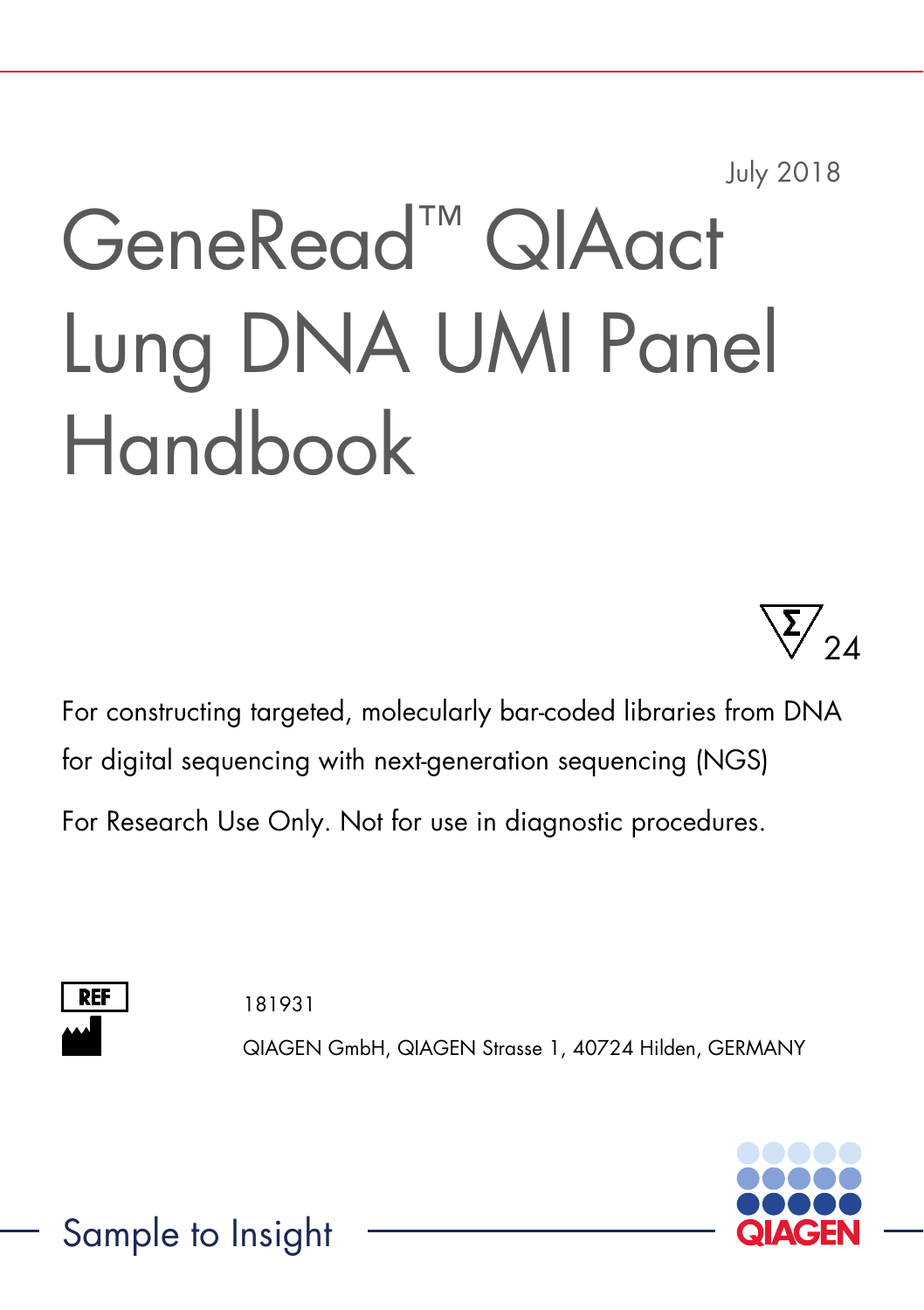July 2018

# GeneRead™ QIAact Lung DNA UMI Panel Handbook



For constructing targeted, molecularly bar-coded libraries from DNA for digital sequencing with next-generation sequencing (NGS) For Research Use Only. Not for use in diagnostic procedures.



181931

QIAGEN GmbH, QIAGEN Strasse 1, 40724 Hilden, GERMANY



Sample to Insight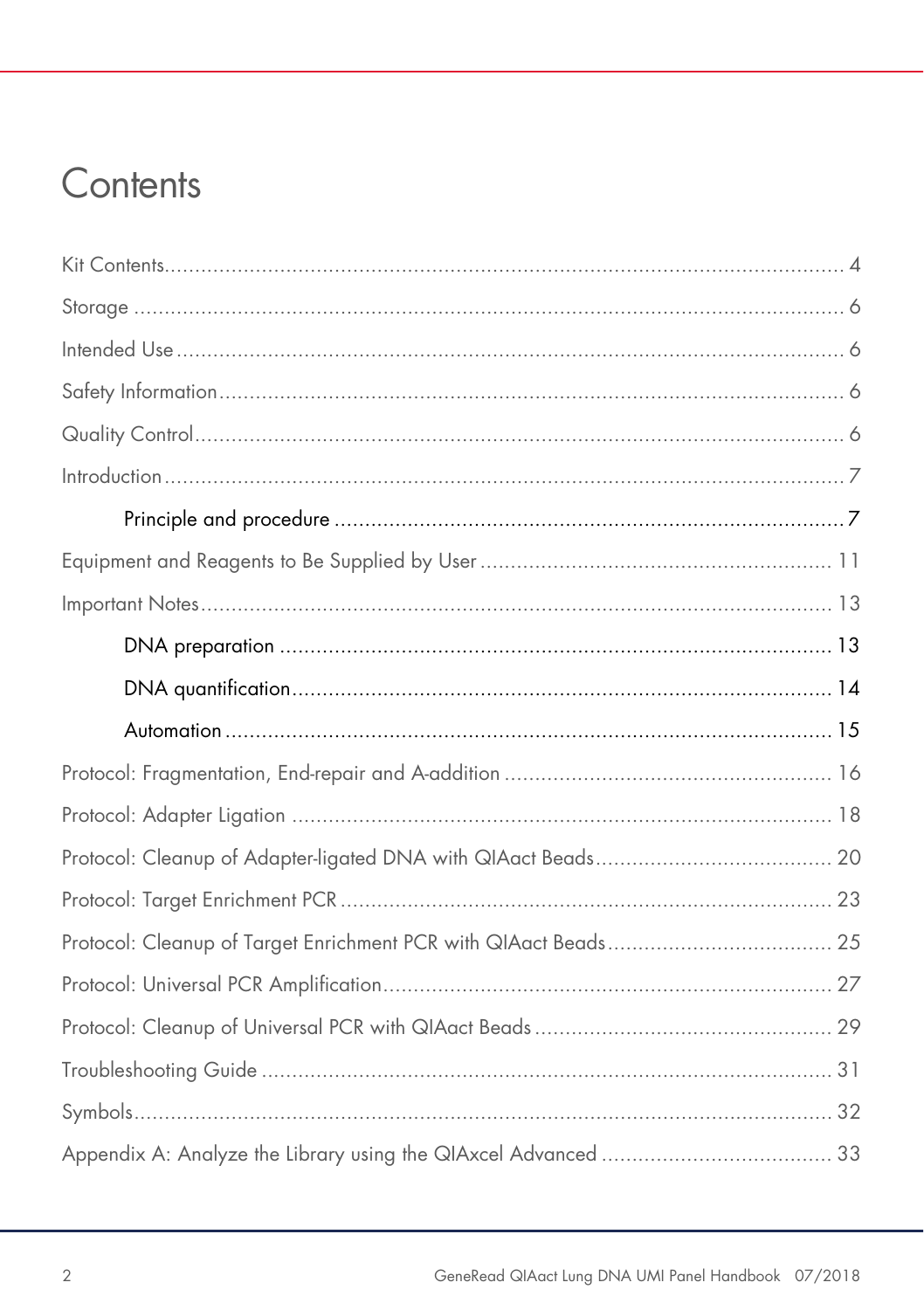### Contents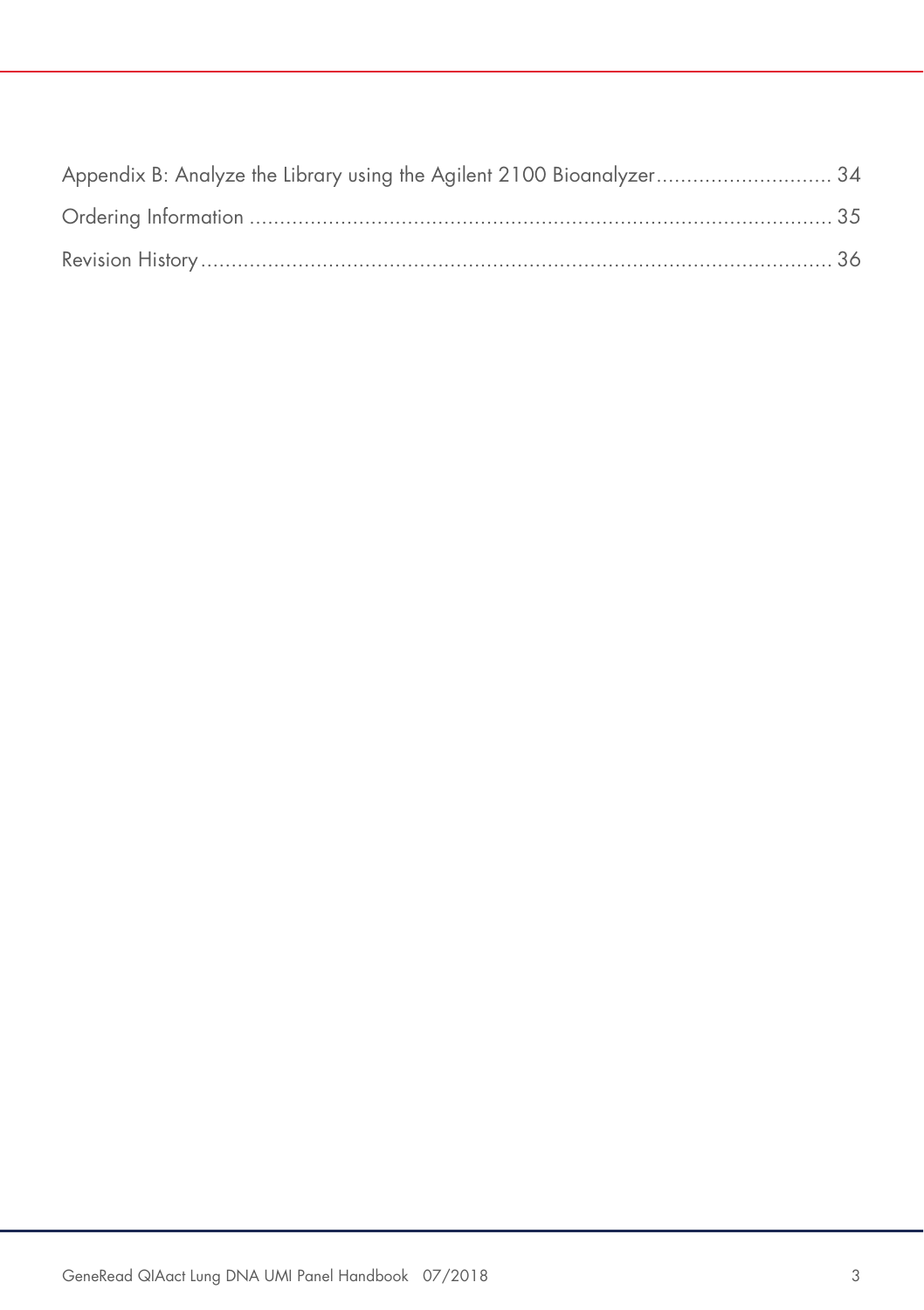| Appendix B: Analyze the Library using the Agilent 2100 Bioanalyzer 34 |  |
|-----------------------------------------------------------------------|--|
|                                                                       |  |
|                                                                       |  |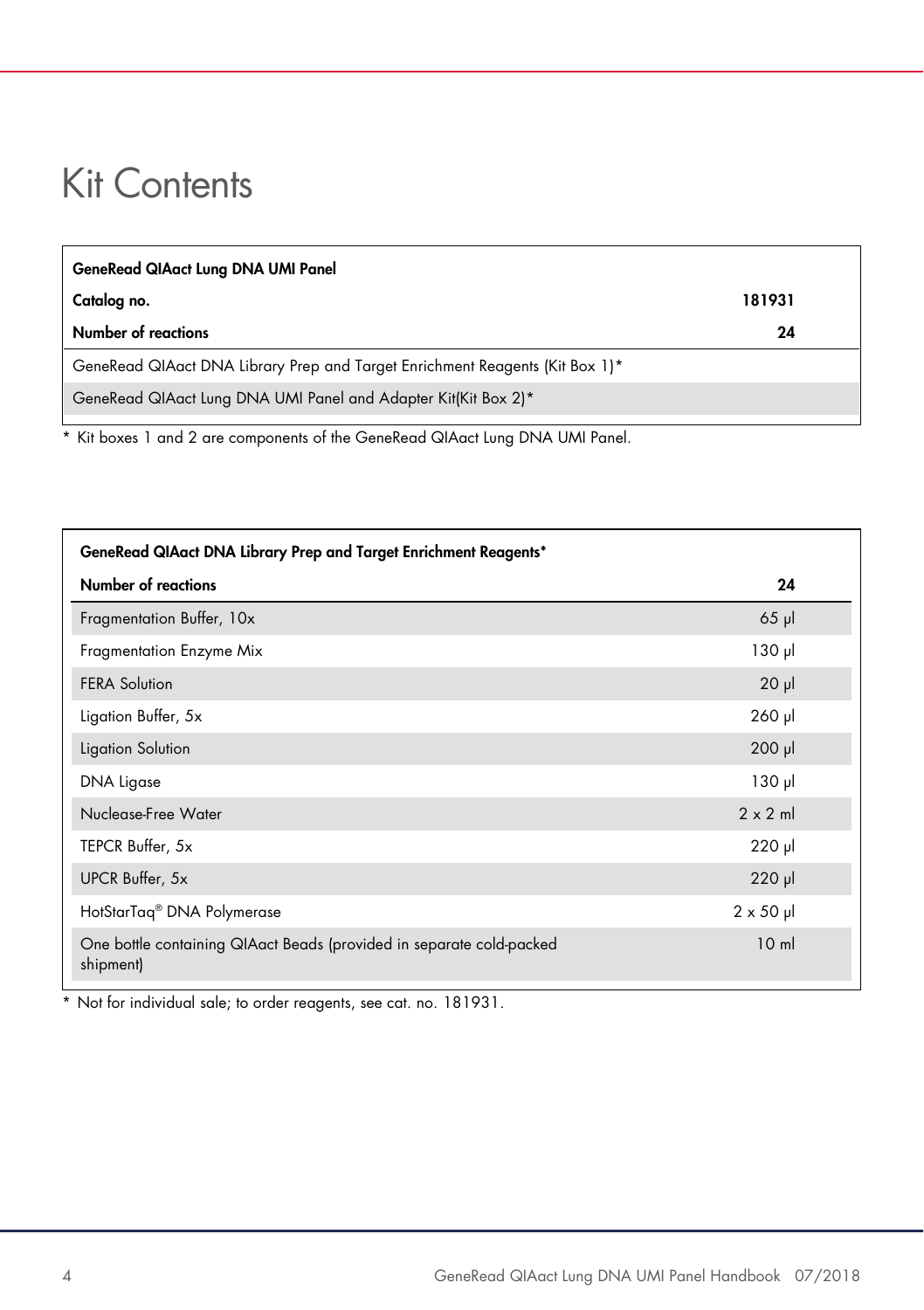### Kit Contents

| <b>GeneRead QIAact Lung DNA UMI Panel</b>                                    |        |  |
|------------------------------------------------------------------------------|--------|--|
| Catalog no.                                                                  | 181931 |  |
| Number of reactions                                                          | 24     |  |
| GeneRead QIAact DNA Library Prep and Target Enrichment Reagents (Kit Box 1)* |        |  |
| GeneRead QIAact Lung DNA UMI Panel and Adapter Kit(Kit Box 2)*               |        |  |
|                                                                              |        |  |

\* Kit boxes 1 and 2 are components of the GeneRead QIAact Lung DNA UMI Panel.

| GeneRead QIAact DNA Library Prep and Target Enrichment Reagents*                  |                   |  |  |  |
|-----------------------------------------------------------------------------------|-------------------|--|--|--|
| Number of reactions                                                               | 24                |  |  |  |
| Fragmentation Buffer, 10x                                                         | $65$ $\mu$        |  |  |  |
| Fragmentation Enzyme Mix                                                          | $130$ pl          |  |  |  |
| <b>FERA Solution</b>                                                              | $20 \mu$          |  |  |  |
| Ligation Buffer, 5x                                                               | $260$ $\mu$       |  |  |  |
| Ligation Solution                                                                 | $200$ $\mu$       |  |  |  |
| DNA Ligase                                                                        | $130$ pl          |  |  |  |
| Nuclease-Free Water                                                               | $2 \times 2$ m    |  |  |  |
| TEPCR Buffer, 5x                                                                  | $220$ $\mu$       |  |  |  |
| UPCR Buffer, 5x                                                                   | $220$ $\mu$       |  |  |  |
| HotStarTag <sup>®</sup> DNA Polymerase                                            | $2 \times 50 \mu$ |  |  |  |
| One bottle containing QIAact Beads (provided in separate cold-packed<br>shipment) | 10 <sub>m</sub>   |  |  |  |

\* Not for individual sale; to order reagents, see cat. no. 181931.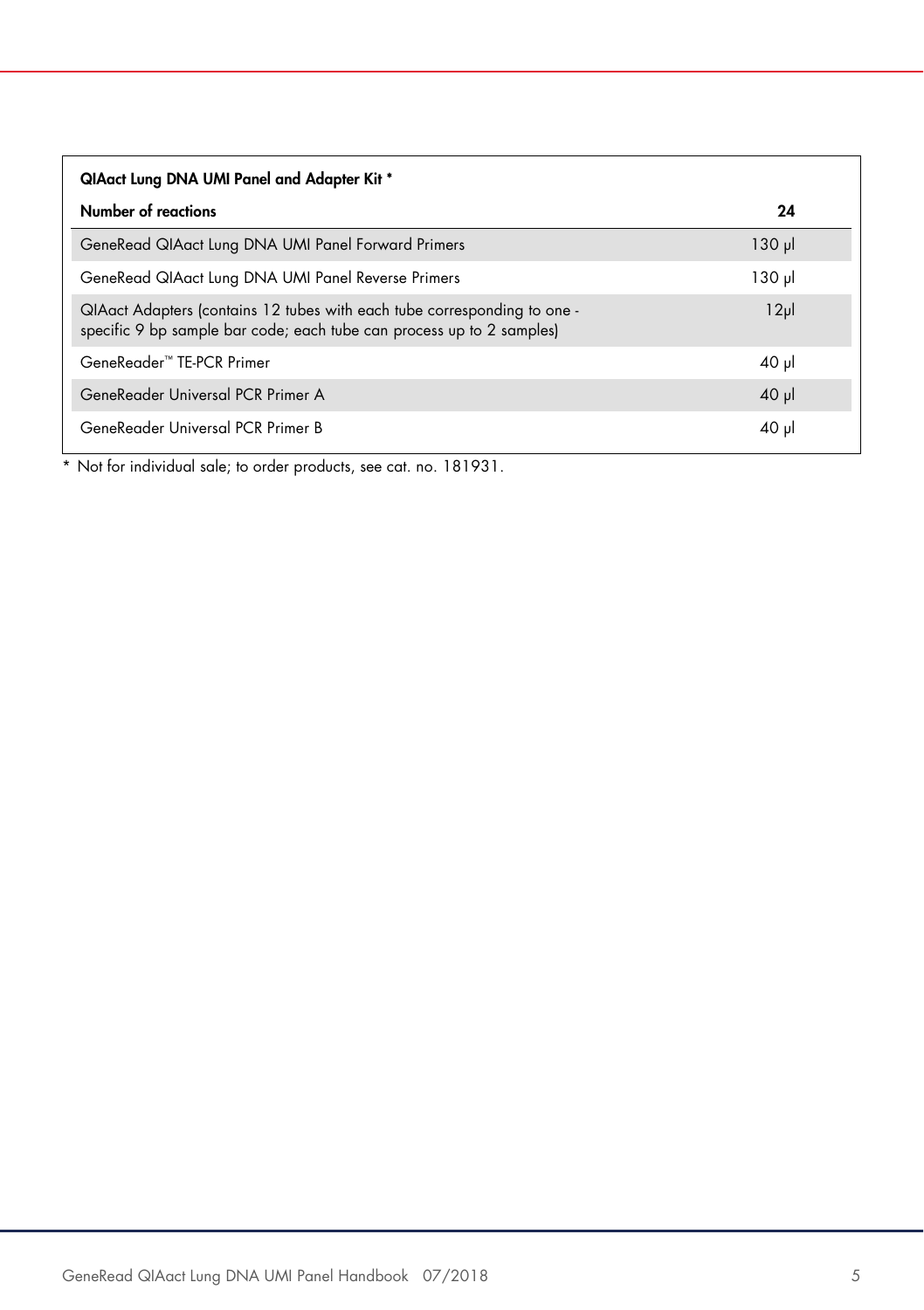| QIAact Lung DNA UMI Panel and Adapter Kit *                                                                                                       |                  |  |  |  |
|---------------------------------------------------------------------------------------------------------------------------------------------------|------------------|--|--|--|
| Number of reactions                                                                                                                               | 24               |  |  |  |
| GeneRead QIAact Lung DNA UMI Panel Forward Primers                                                                                                | $130 \mu$        |  |  |  |
| GeneRead QIAact Lung DNA UMI Panel Reverse Primers                                                                                                | $130 \mu$        |  |  |  |
| QIAact Adapters (contains 12 tubes with each tube corresponding to one -<br>specific 9 bp sample bar code; each tube can process up to 2 samples) | 12 <sub>pl</sub> |  |  |  |
| GeneReader <sup>™</sup> TF-PCR Primer                                                                                                             | $40$ pl          |  |  |  |
| GeneReader Universal PCR Primer A                                                                                                                 | $40 \mu$         |  |  |  |
| GeneReader Universal PCR Primer B                                                                                                                 | $40 \mu$         |  |  |  |

\* Not for individual sale; to order products, see cat. no. 181931.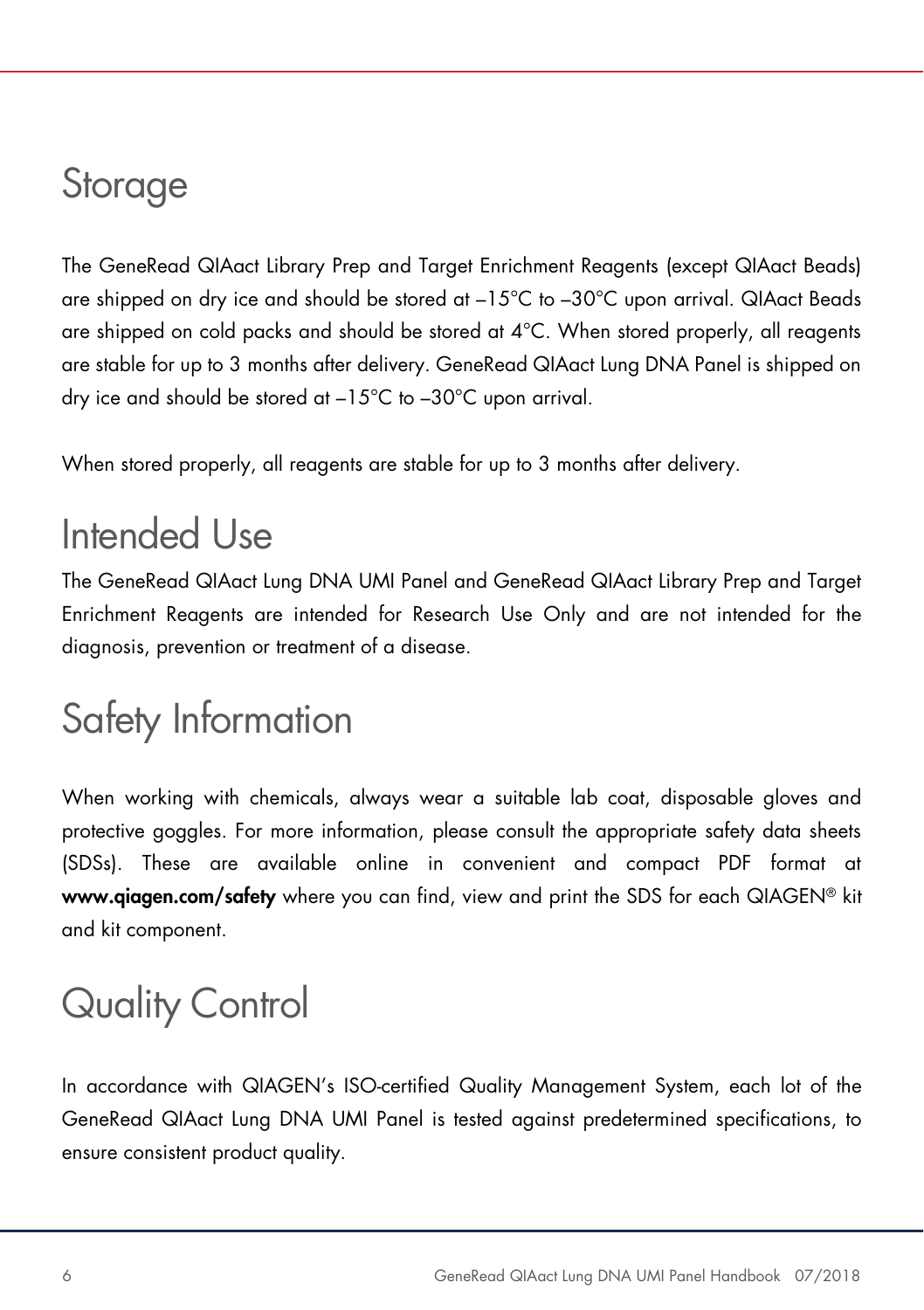### **Storage**

The GeneRead QIAact Library Prep and Target Enrichment Reagents (except QIAact Beads) are shipped on dry ice and should be stored at –15°C to –30°C upon arrival. QIAact Beads are shipped on cold packs and should be stored at  $4^{\circ}$ C. When stored properly, all reagents are stable for up to 3 months after delivery. GeneRead QIAact Lung DNA Panel is shipped on dry ice and should be stored at –15°C to –30°C upon arrival.

When stored properly, all reagents are stable for up to 3 months after delivery.

### Intended Use

The GeneRead QIAact Lung DNA UMI Panel and GeneRead QIAact Library Prep and Target Enrichment Reagents are intended for Research Use Only and are not intended for the diagnosis, prevention or treatment of a disease.

### Safety Information

When working with chemicals, always wear a suitable lab coat, disposable gloves and protective goggles. For more information, please consult the appropriate safety data sheets (SDSs). These are available online in convenient and compact PDF format at www.qiagen.com/safety where you can find, view and print the SDS for each QIAGEN® kit and kit component.

# Quality Control

In accordance with QIAGEN's ISO-certified Quality Management System, each lot of the GeneRead QIAact Lung DNA UMI Panel is tested against predetermined specifications, to ensure consistent product quality.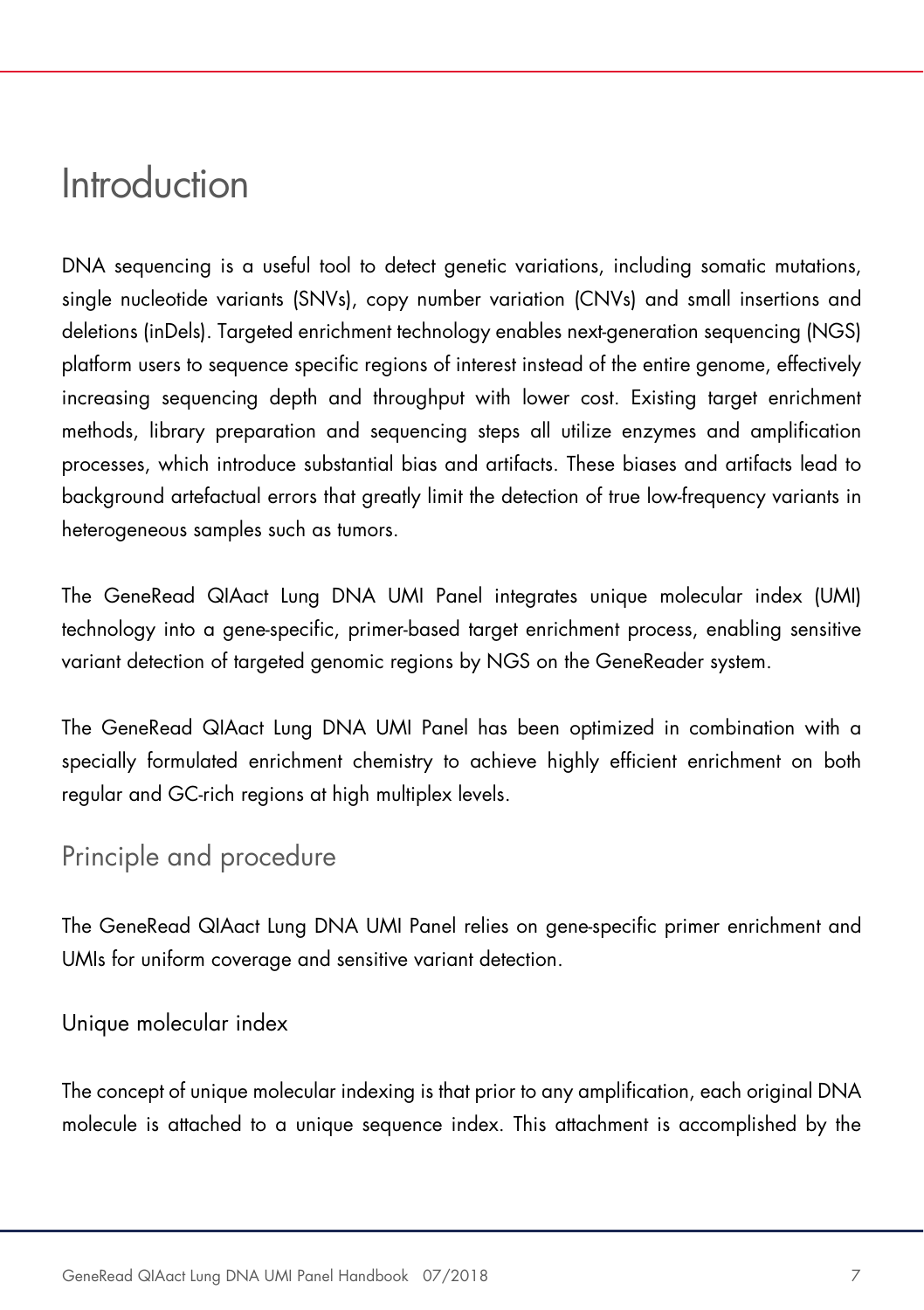### Introduction

DNA sequencing is a useful tool to detect genetic variations, including somatic mutations, single nucleotide variants (SNVs), copy number variation (CNVs) and small insertions and deletions (inDels). Targeted enrichment technology enables next-generation sequencing (NGS) platform users to sequence specific regions of interest instead of the entire genome, effectively increasing sequencing depth and throughput with lower cost. Existing target enrichment methods, library preparation and sequencing steps all utilize enzymes and amplification processes, which introduce substantial bias and artifacts. These biases and artifacts lead to background artefactual errors that greatly limit the detection of true low-frequency variants in heterogeneous samples such as tumors.

The GeneRead QIAact Lung DNA UMI Panel integrates unique molecular index (UMI) technology into a gene-specific, primer-based target enrichment process, enabling sensitive variant detection of targeted genomic regions by NGS on the GeneReader system.

The GeneRead QIAact Lung DNA UMI Panel has been optimized in combination with a specially formulated enrichment chemistry to achieve highly efficient enrichment on both regular and GC-rich regions at high multiplex levels.

### Principle and procedure

The GeneRead QIAact Lung DNA UMI Panel relies on gene-specific primer enrichment and UMIs for uniform coverage and sensitive variant detection.

#### Unique molecular index

The concept of unique molecular indexing is that prior to any amplification, each original DNA molecule is attached to a unique sequence index. This attachment is accomplished by the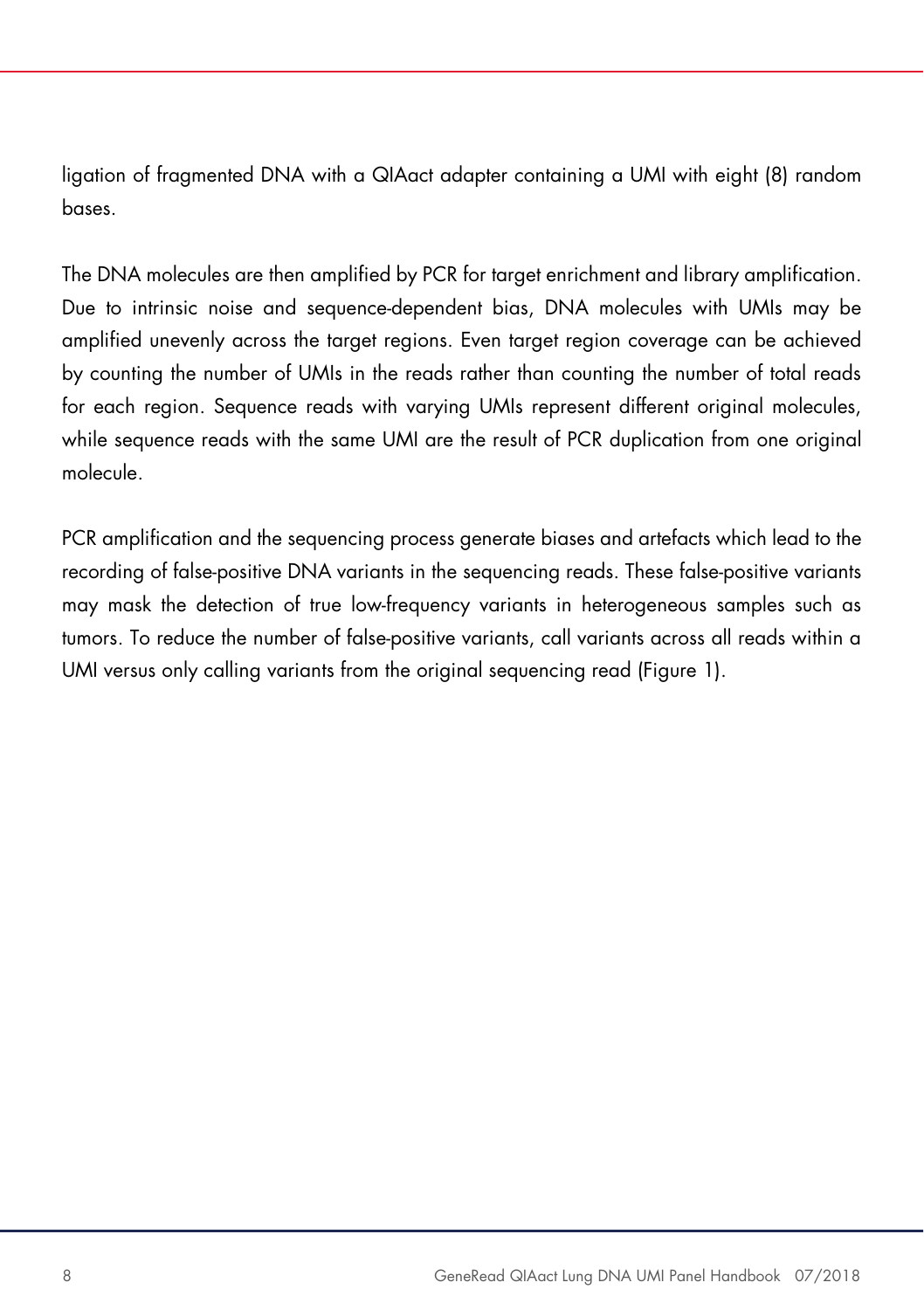ligation of fragmented DNA with a QIAact adapter containing a UMI with eight (8) random bases.

The DNA molecules are then amplified by PCR for target enrichment and library amplification. Due to intrinsic noise and sequence-dependent bias, DNA molecules with UMIs may be amplified unevenly across the target regions. Even target region coverage can be achieved by counting the number of UMIs in the reads rather than counting the number of total reads for each region. Sequence reads with varying UMIs represent different original molecules, while sequence reads with the same UMI are the result of PCR duplication from one original molecule.

PCR amplification and the sequencing process generate biases and artefacts which lead to the recording of false-positive DNA variants in the sequencing reads. These false-positive variants may mask the detection of true low-frequency variants in heterogeneous samples such as tumors. To reduce the number of false-positive variants, call variants across all reads within a UMI versus only calling variants from the original sequencing read (Figure 1).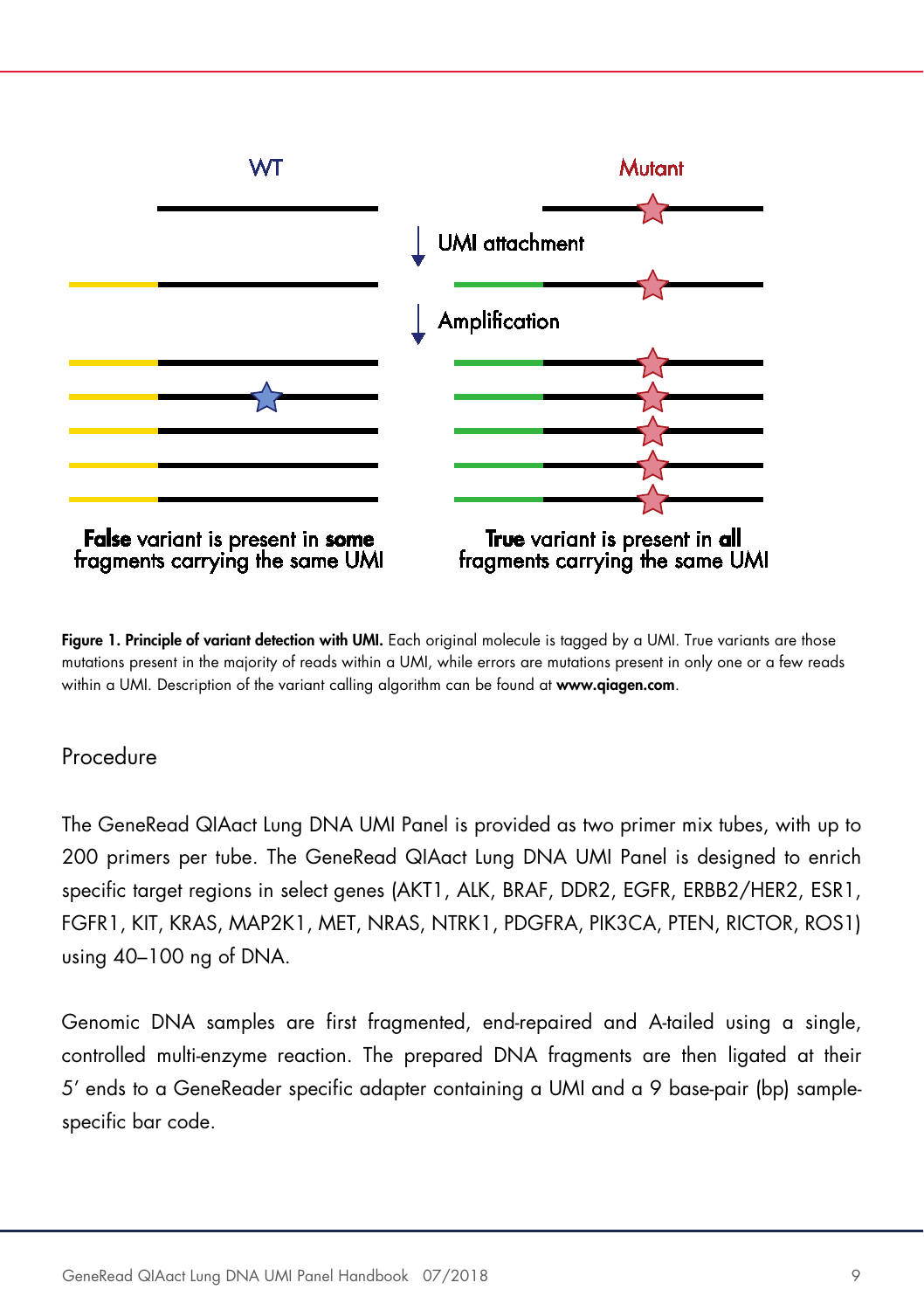

Figure 1. Principle of variant detection with UMI. Each original molecule is tagged by a UMI. True variants are those mutations present in the majority of reads within a UMI, while errors are mutations present in only one or a few reads within a UMI. Description of the variant calling algorithm can be found at www.qiagen.com.

#### Procedure

The GeneRead QIAact Lung DNA UMI Panel is provided as two primer mix tubes, with up to 200 primers per tube. The GeneRead QIAact Lung DNA UMI Panel is designed to enrich specific target regions in select genes (AKT1, ALK, BRAF, DDR2, EGFR, ERBB2/HER2, ESR1, FGFR1, KIT, KRAS, MAP2K1, MET, NRAS, NTRK1, PDGFRA, PIK3CA, PTEN, RICTOR, ROS1) using 40–100 ng of DNA.

Genomic DNA samples are first fragmented, end-repaired and A-tailed using a single, controlled multi-enzyme reaction. The prepared DNA fragments are then ligated at their 5' ends to a GeneReader specific adapter containing a UMI and a 9 base-pair (bp) samplespecific bar code.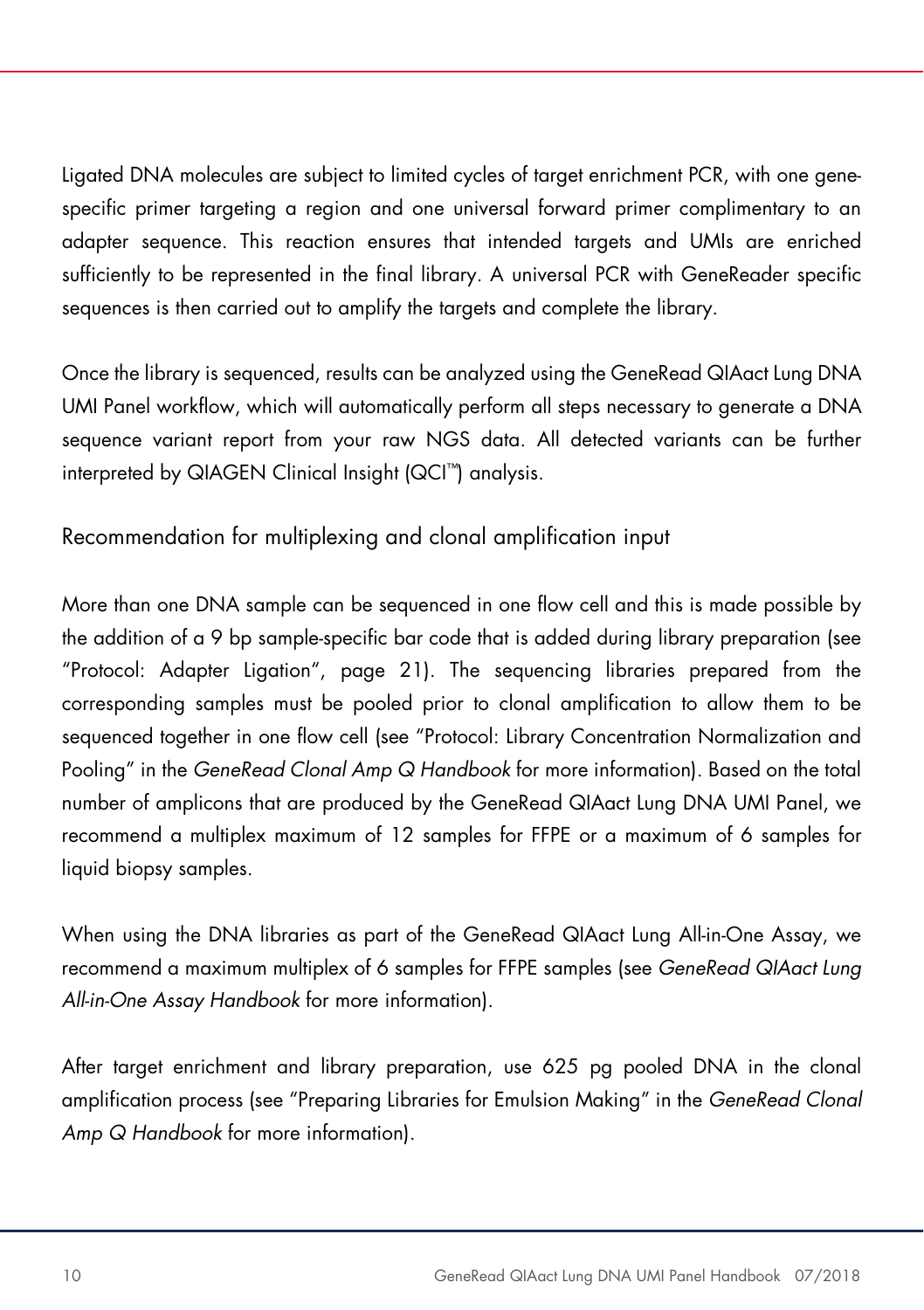Ligated DNA molecules are subject to limited cycles of target enrichment PCR, with one genespecific primer targeting a region and one universal forward primer complimentary to an adapter sequence. This reaction ensures that intended targets and UMIs are enriched sufficiently to be represented in the final library. A universal PCR with GeneReader specific sequences is then carried out to amplify the targets and complete the library.

Once the library is sequenced, results can be analyzed using the GeneRead QIAact Lung DNA UMI Panel workflow, which will automatically perform all steps necessary to generate a DNA sequence variant report from your raw NGS data. All detected variants can be further interpreted by QIAGEN Clinical Insight (QCI™) analysis.

Recommendation for multiplexing and clonal amplification input

More than one DNA sample can be sequenced in one flow cell and this is made possible by the addition of a 9 bp sample-specific bar code that is added during library preparation (see "Protocol: Adapter Ligation", page 21). The sequencing libraries prepared from the corresponding samples must be pooled prior to clonal amplification to allow them to be sequenced together in one flow cell (see "Protocol: Library Concentration Normalization and Pooling" in the *GeneRead Clonal Amp Q Handbook* for more information). Based on the total number of amplicons that are produced by the GeneRead QIAact Lung DNA UMI Panel, we recommend a multiplex maximum of 12 samples for FFPE or a maximum of 6 samples for liquid biopsy samples.

When using the DNA libraries as part of the GeneRead QIAact Lung All-in-One Assay, we recommend a maximum multiplex of 6 samples for FFPE samples (see *GeneRead QIAact Lung All-in-One Assay Handbook* for more information).

After target enrichment and library preparation, use 625 pg pooled DNA in the clonal amplification process (see "Preparing Libraries for Emulsion Making" in the *GeneRead Clonal Amp Q Handbook* for more information).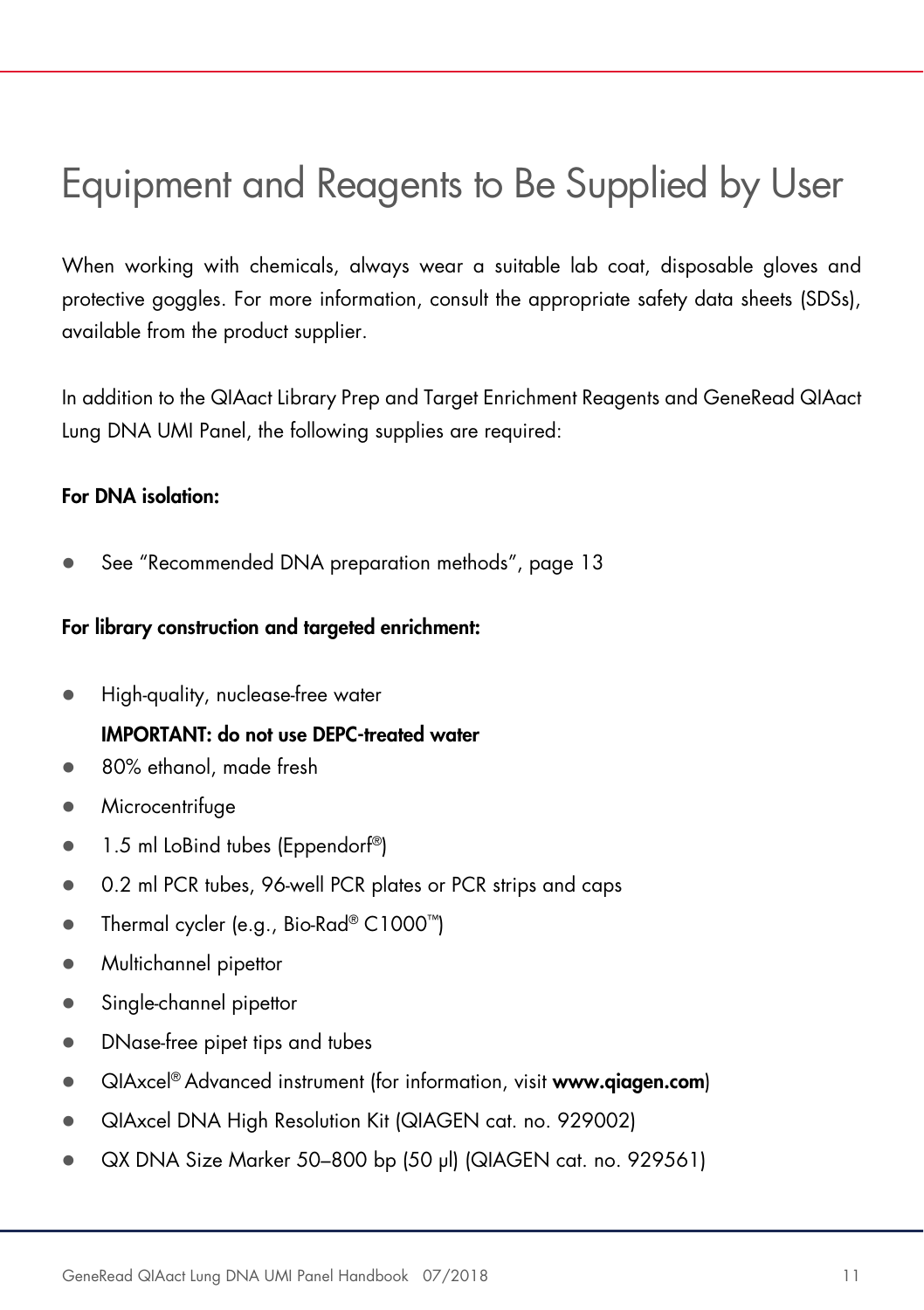### Equipment and Reagents to Be Supplied by User

When working with chemicals, always wear a suitable lab coat, disposable gloves and protective goggles. For more information, consult the appropriate safety data sheets (SDSs), available from the product supplier.

In addition to the QIAact Library Prep and Target Enrichment Reagents and GeneRead QIAact Lung DNA UMI Panel, the following supplies are required:

#### For DNA isolation:

See "Recommended DNA preparation methods", page 13

#### For library construction and targeted enrichment:

High-quality, nuclease-free water

#### IMPORTANT: do not use DEPC-treated water

- 80% ethanol, made fresh
- **•** Microcentrifuge
- 1.5 ml LoBind tubes (Eppendorf<sup>®</sup>)
- 0.2 ml PCR tubes, 96-well PCR plates or PCR strips and caps
- Thermal cycler (e.g., Bio-Rad® C1000™)
- Multichannel pipettor
- Single-channel pipettor
- DNase-free pipet tips and tubes
- **QIAxcel® Advanced instrument (for information, visit www.qiagen.com)**
- QIAxcel DNA High Resolution Kit (QIAGEN cat. no. 929002)
- QX DNA Size Marker 50–800 bp (50 µl) (QIAGEN cat. no. 929561)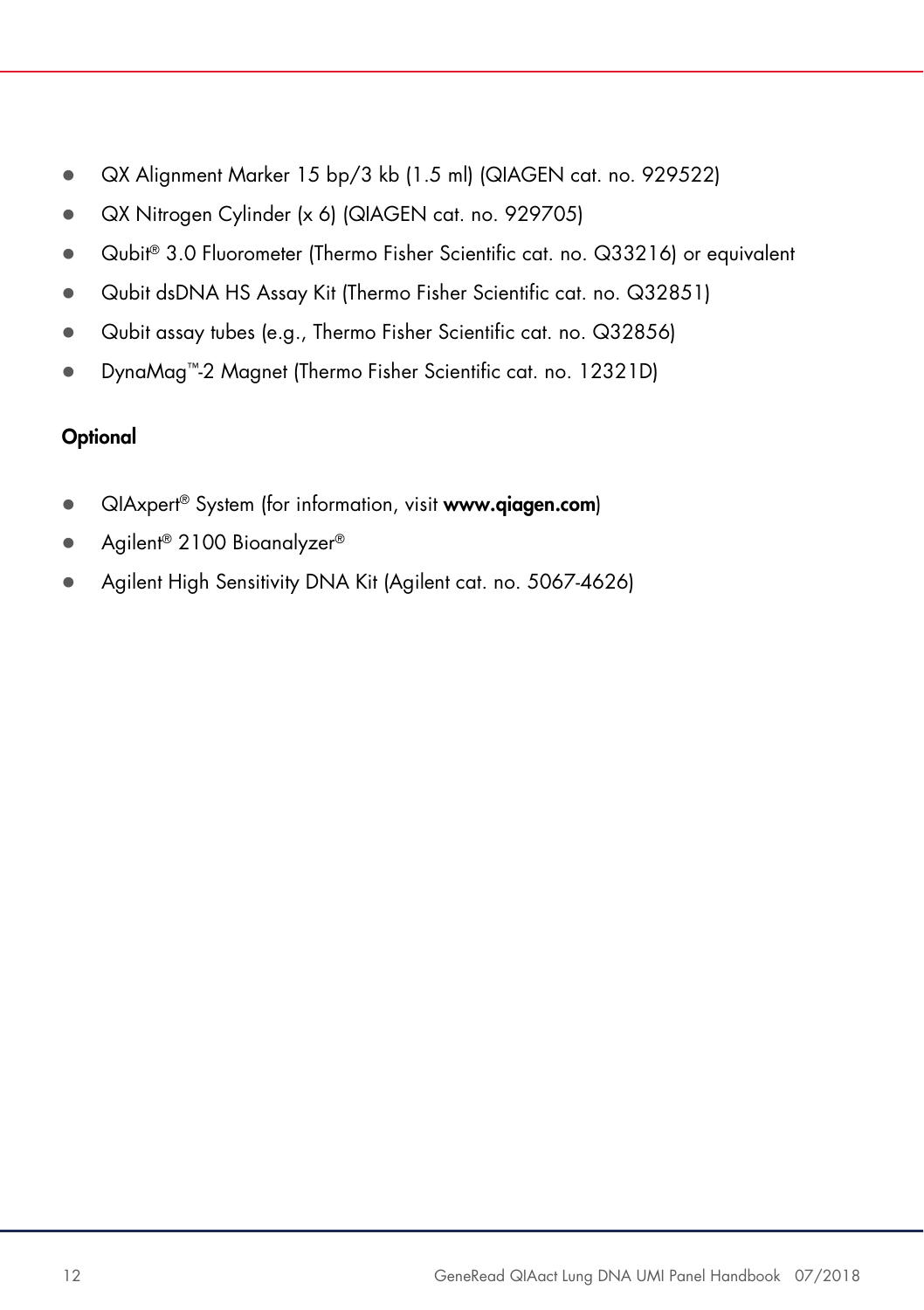- QX Alignment Marker 15 bp/3 kb (1.5 ml) (QIAGEN cat. no. 929522)
- QX Nitrogen Cylinder (x 6) (QIAGEN cat. no. 929705)
- Qubit® 3.0 Fluorometer (Thermo Fisher Scientific cat. no. Q33216) or equivalent
- Qubit dsDNA HS Assay Kit (Thermo Fisher Scientific cat. no. Q32851)
- Qubit assay tubes (e.g., Thermo Fisher Scientific cat. no. Q32856)
- DynaMag™-2 Magnet (Thermo Fisher Scientific cat. no. 12321D)

#### **Optional**

- QIAxpert® System (for information, visit www.qiagen.com)
- Agilent® 2100 Bioanalyzer®
- Agilent High Sensitivity DNA Kit (Agilent cat. no. 5067-4626)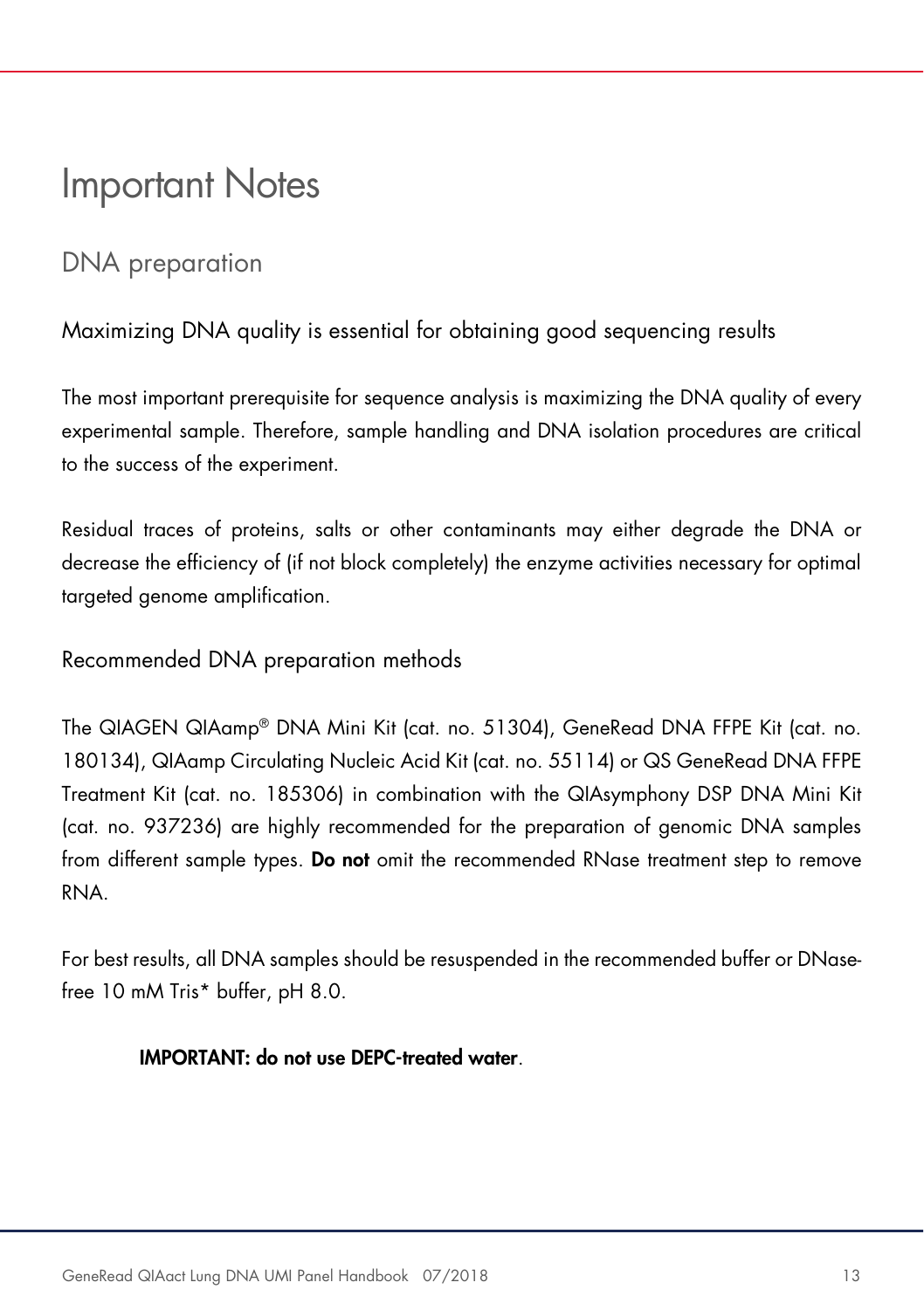### Important Notes

### DNA preparation

Maximizing DNA quality is essential for obtaining good sequencing results

The most important prerequisite for sequence analysis is maximizing the DNA quality of every experimental sample. Therefore, sample handling and DNA isolation procedures are critical to the success of the experiment.

Residual traces of proteins, salts or other contaminants may either degrade the DNA or decrease the efficiency of (if not block completely) the enzyme activities necessary for optimal targeted genome amplification.

Recommended DNA preparation methods

The QIAGEN QIAamp® DNA Mini Kit (cat. no. 51304), GeneRead DNA FFPE Kit (cat. no. 180134), QIAamp Circulating Nucleic Acid Kit (cat. no. 55114) or QS GeneRead DNA FFPE Treatment Kit (cat. no. 185306) in combination with the QIAsymphony DSP DNA Mini Kit (cat. no. 937236) are highly recommended for the preparation of genomic DNA samples from different sample types. Do not omit the recommended RNase treatment step to remove RNA.

For best results, all DNA samples should be resuspended in the recommended buffer or DNasefree 10 mM Tris\* buffer, pH 8.0.

#### IMPORTANT: do not use DEPC-treated water.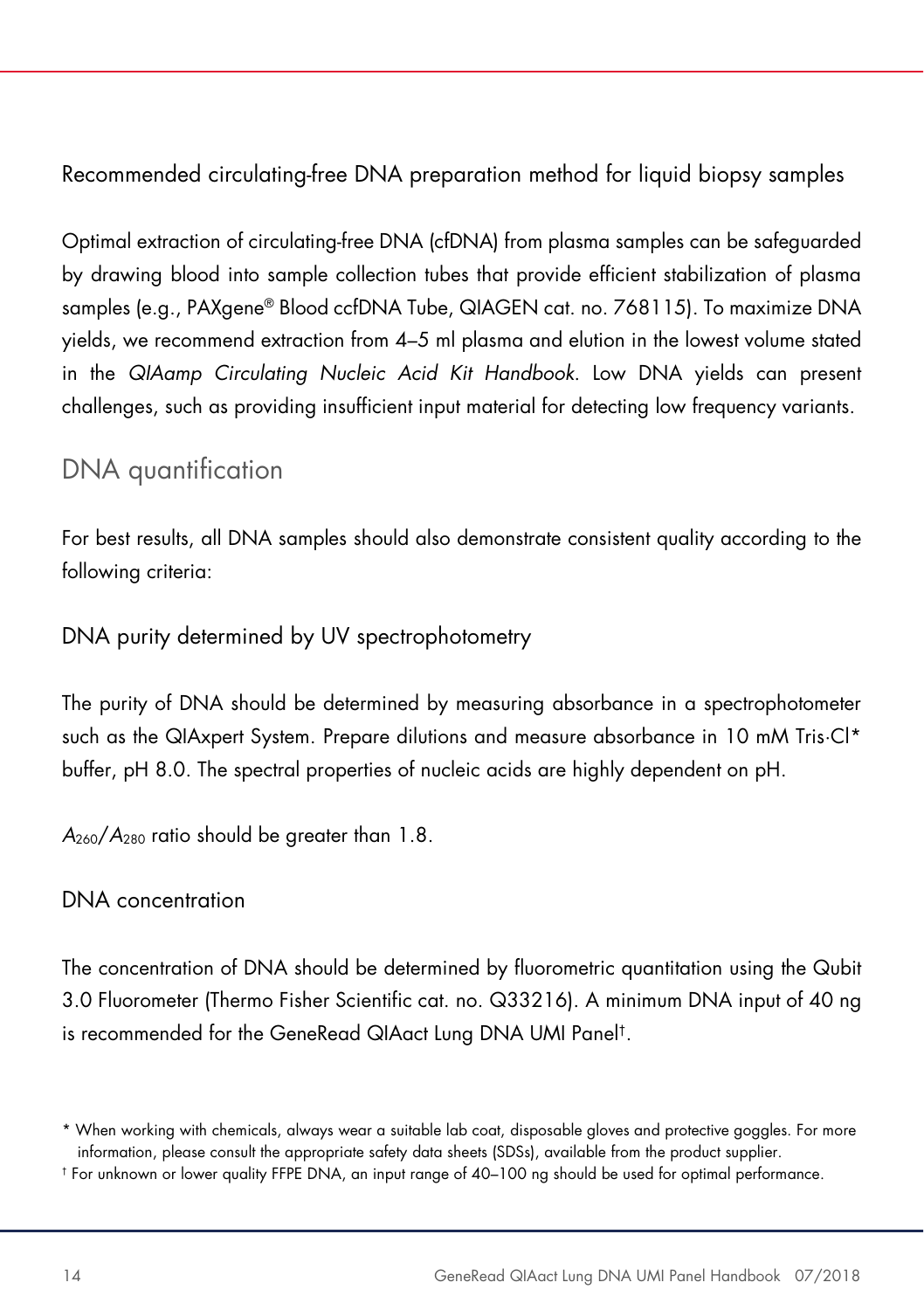Recommended circulating-free DNA preparation method for liquid biopsy samples

Optimal extraction of circulating-free DNA (cfDNA) from plasma samples can be safeguarded by drawing blood into sample collection tubes that provide efficient stabilization of plasma samples (e.g., PAXgene® Blood ccfDNA Tube, QIAGEN cat. no. 768115). To maximize DNA yields, we recommend extraction from 4–5 ml plasma and elution in the lowest volume stated in the *QIAamp Circulating Nucleic Acid Kit Handbook*. Low DNA yields can present challenges, such as providing insufficient input material for detecting low frequency variants.

### DNA quantification

For best results, all DNA samples should also demonstrate consistent quality according to the following criteria:

DNA purity determined by UV spectrophotometry

The purity of DNA should be determined by measuring absorbance in a spectrophotometer such as the QIAxpert System. Prepare dilutions and measure absorbance in 10 mM Tris·Cl\* buffer, pH 8.0. The spectral properties of nucleic acids are highly dependent on pH.

*A*260/*A*<sup>280</sup> ratio should be greater than 1.8.

#### DNA concentration

The concentration of DNA should be determined by fluorometric quantitation using the Qubit 3.0 Fluorometer (Thermo Fisher Scientific cat. no. Q33216). A minimum DNA input of 40 ng is recommended for the GeneRead QIAact Lung DNA UMI Panel†.

<sup>\*</sup> When working with chemicals, always wear a suitable lab coat, disposable gloves and protective goggles. For more information, please consult the appropriate safety data sheets (SDSs), available from the product supplier.

<sup>†</sup> For unknown or lower quality FFPE DNA, an input range of 40–100 ng should be used for optimal performance.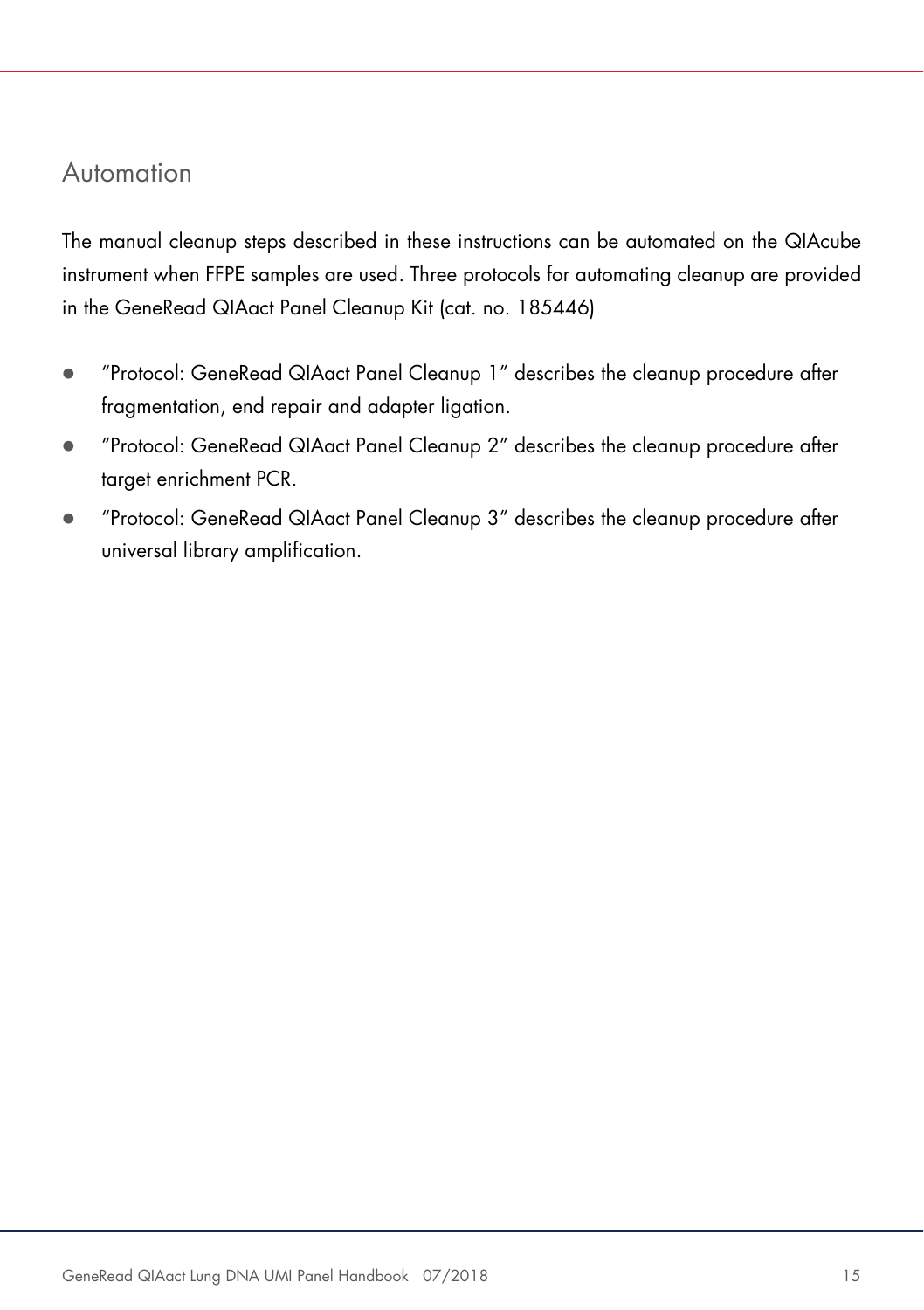#### Automation

The manual cleanup steps described in these instructions can be automated on the QIAcube instrument when FFPE samples are used. Three protocols for automating cleanup are provided in the GeneRead QIAact Panel Cleanup Kit (cat. no. 185446)

- "Protocol: GeneRead QIAact Panel Cleanup 1" describes the cleanup procedure after fragmentation, end repair and adapter ligation.
- "Protocol: GeneRead QIAact Panel Cleanup 2" describes the cleanup procedure after target enrichment PCR.
- "Protocol: GeneRead QIAact Panel Cleanup 3" describes the cleanup procedure after universal library amplification.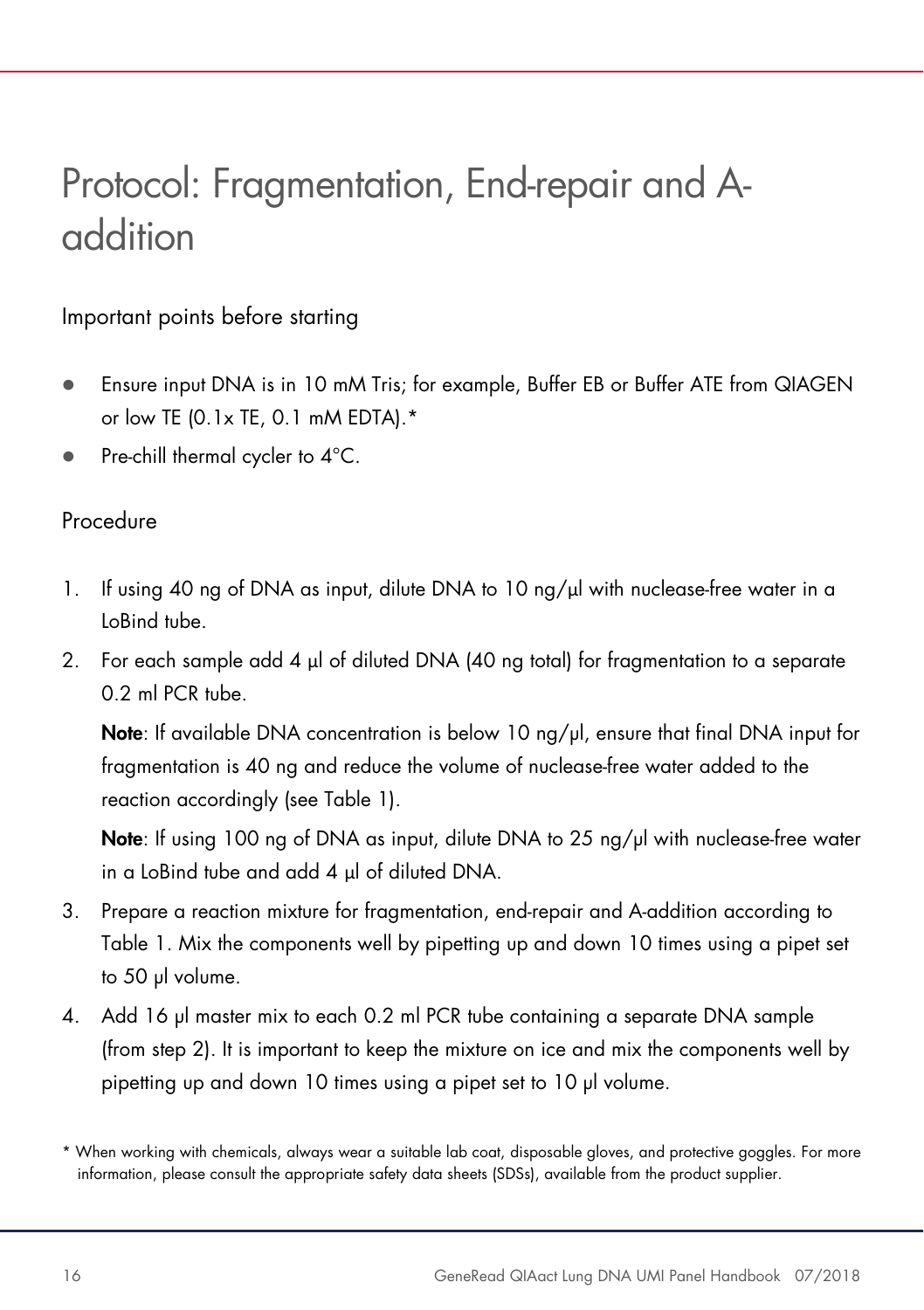# Protocol: Fragmentation, End-repair and Aaddition

#### Important points before starting

- Ensure input DNA is in 10 mM Tris; for example, Buffer EB or Buffer ATE from QIAGEN or low TE (0.1x TE, 0.1 mM EDTA).\*
- Pre-chill thermal cycler to 4°C.

#### Procedure

- 1. If using 40 ng of DNA as input, dilute DNA to 10 ng/ul with nuclease-free water in a LoBind tube.
- 2. For each sample add 4 µl of diluted DNA (40 ng total) for fragmentation to a separate 0.2 ml PCR tube.

Note: If available DNA concentration is below 10  $\frac{ng}{yl}$ , ensure that final DNA input for fragmentation is 40 ng and reduce the volume of nuclease-free water added to the reaction accordingly (see Table 1).

Note: If using 100 ng of DNA as input, dilute DNA to 25 ng/µl with nuclease-free water in a LoBind tube and add 4 µl of diluted DNA.

- 3. Prepare a reaction mixture for fragmentation, end-repair and A-addition according to Table 1. Mix the components well by pipetting up and down 10 times using a pipet set to 50 µl volume.
- 4. Add 16 µl master mix to each 0.2 ml PCR tube containing a separate DNA sample (from step 2). It is important to keep the mixture on ice and mix the components well by pipetting up and down 10 times using a pipet set to 10 µl volume.

<sup>\*</sup> When working with chemicals, always wear a suitable lab coat, disposable gloves, and protective goggles. For more information, please consult the appropriate safety data sheets (SDSs), available from the product supplier.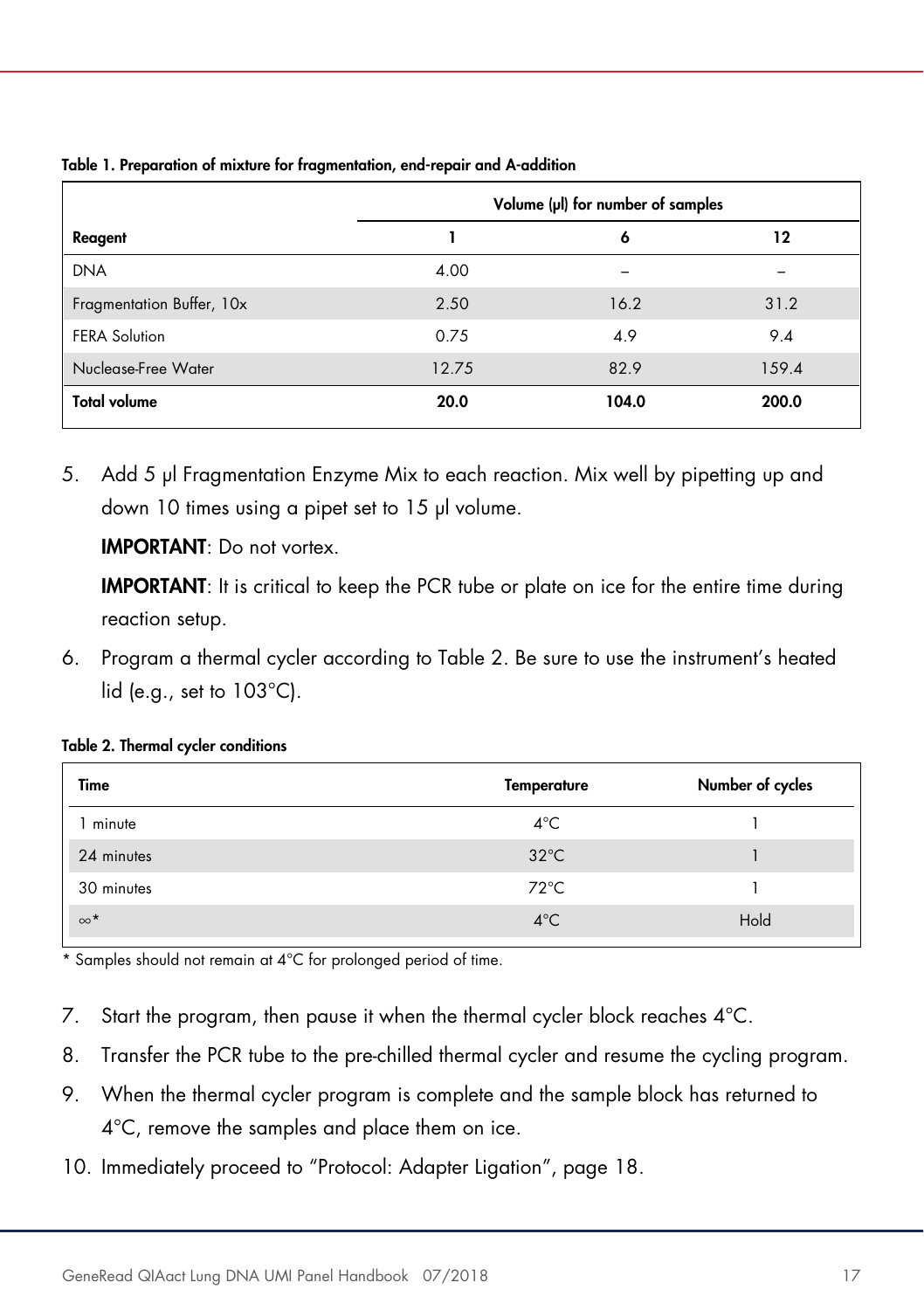|                           | Volume (µl) for number of samples |       |       |
|---------------------------|-----------------------------------|-------|-------|
| Reagent                   |                                   | 6     | 12    |
| <b>DNA</b>                | 4.00                              |       |       |
| Fragmentation Buffer, 10x | 2.50                              | 16.2  | 31.2  |
| <b>FERA Solution</b>      | 0.75                              | 4.9   | 9.4   |
| Nuclease-Free Water       | 12.75                             | 82.9  | 159.4 |
| <b>Total volume</b>       | 20.0                              | 104.0 | 200.0 |

Table 1. Preparation of mixture for fragmentation, end-repair and A-addition

5. Add 5 µl Fragmentation Enzyme Mix to each reaction. Mix well by pipetting up and down 10 times using a pipet set to 15 µl volume.

IMPORTANT: Do not vortex.

IMPORTANT: It is critical to keep the PCR tube or plate on ice for the entire time during reaction setup.

6. Program a thermal cycler according to Table 2. Be sure to use the instrument's heated lid (e.g., set to 103°C).

| Time       | <b>Temperature</b> | Number of cycles |
|------------|--------------------|------------------|
| minute     | $4^{\circ}$ C      |                  |
| 24 minutes | $32^{\circ}$ C     |                  |
| 30 minutes | $72^{\circ}$ C     |                  |
| $\infty^*$ | $4^{\circ}$ C      | Hold             |

\* Samples should not remain at 4°C for prolonged period of time.

- 7. Start the program, then pause it when the thermal cycler block reaches 4°C.
- 8. Transfer the PCR tube to the pre-chilled thermal cycler and resume the cycling program.
- 9. When the thermal cycler program is complete and the sample block has returned to 4°C, remove the samples and place them on ice.
- 10. Immediately proceed to "Protocol: Adapter Ligation", page 18.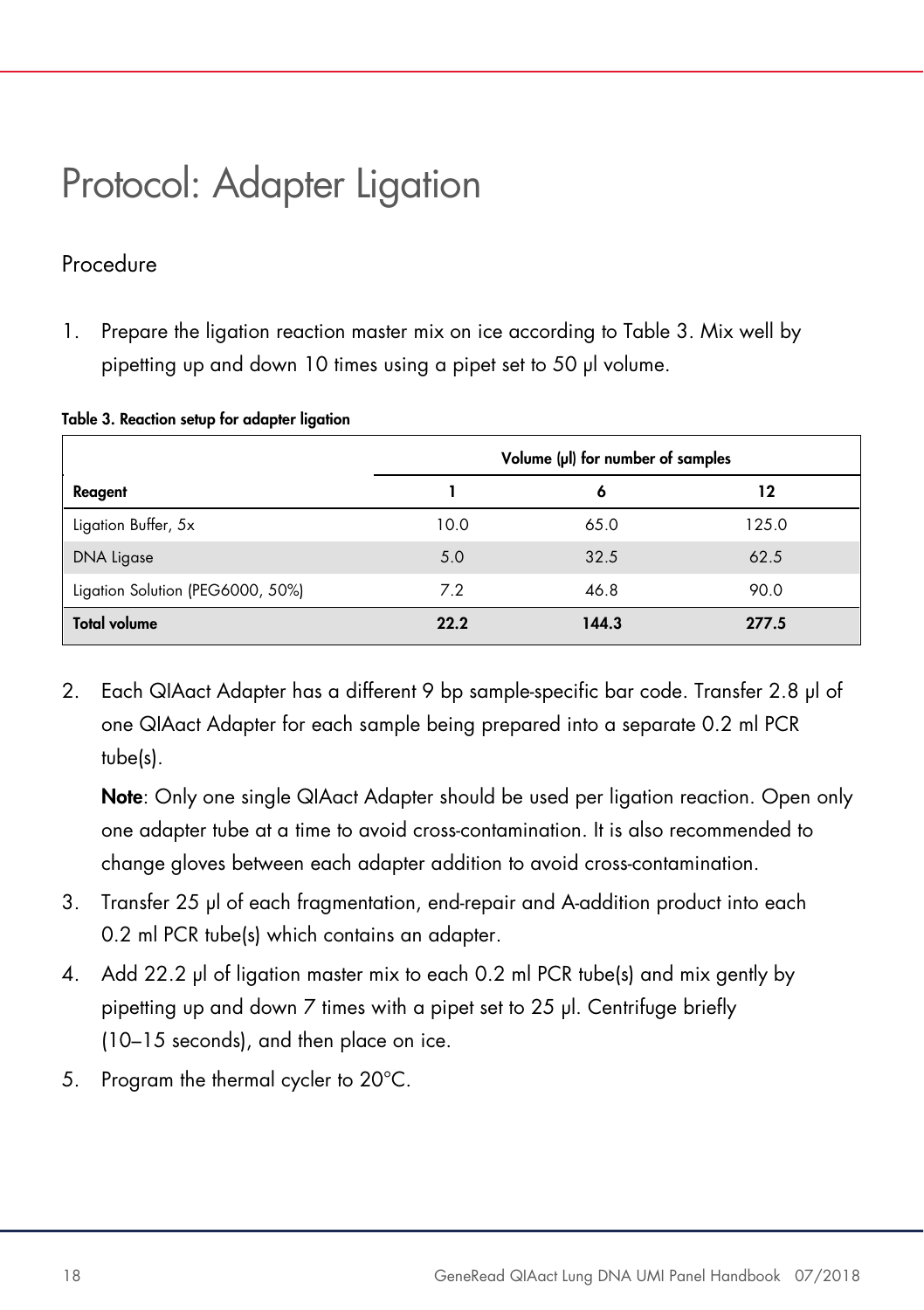### Protocol: Adapter Ligation

#### Procedure

1. Prepare the ligation reaction master mix on ice according to Table 3. Mix well by pipetting up and down 10 times using a pipet set to 50 µl volume.

|                                  | Volume (µI) for number of samples |       |       |  |
|----------------------------------|-----------------------------------|-------|-------|--|
| Reagent                          |                                   | 6     | 12    |  |
| Ligation Buffer, 5x              | 10.0                              | 65.0  | 125.0 |  |
| <b>DNA Ligase</b>                | 5.0                               | 32.5  | 62.5  |  |
| Ligation Solution (PEG6000, 50%) | 7.2                               | 46.8  | 90.0  |  |
| <b>Total volume</b>              | 22.2                              | 144.3 | 277.5 |  |

#### Table 3. Reaction setup for adapter ligation

2. Each QIAact Adapter has a different 9 bp sample-specific bar code. Transfer 2.8 µl of one QIAact Adapter for each sample being prepared into a separate 0.2 ml PCR tube(s).

Note: Only one single QIAact Adapter should be used per ligation reaction. Open only one adapter tube at a time to avoid cross-contamination. It is also recommended to change gloves between each adapter addition to avoid cross-contamination.

- 3. Transfer 25 µl of each fragmentation, end-repair and A-addition product into each 0.2 ml PCR tube(s) which contains an adapter.
- 4. Add 22.2 µl of ligation master mix to each 0.2 ml PCR tube(s) and mix gently by pipetting up and down 7 times with a pipet set to 25 µl. Centrifuge briefly (10–15 seconds), and then place on ice.
- 5. Program the thermal cycler to 20°C.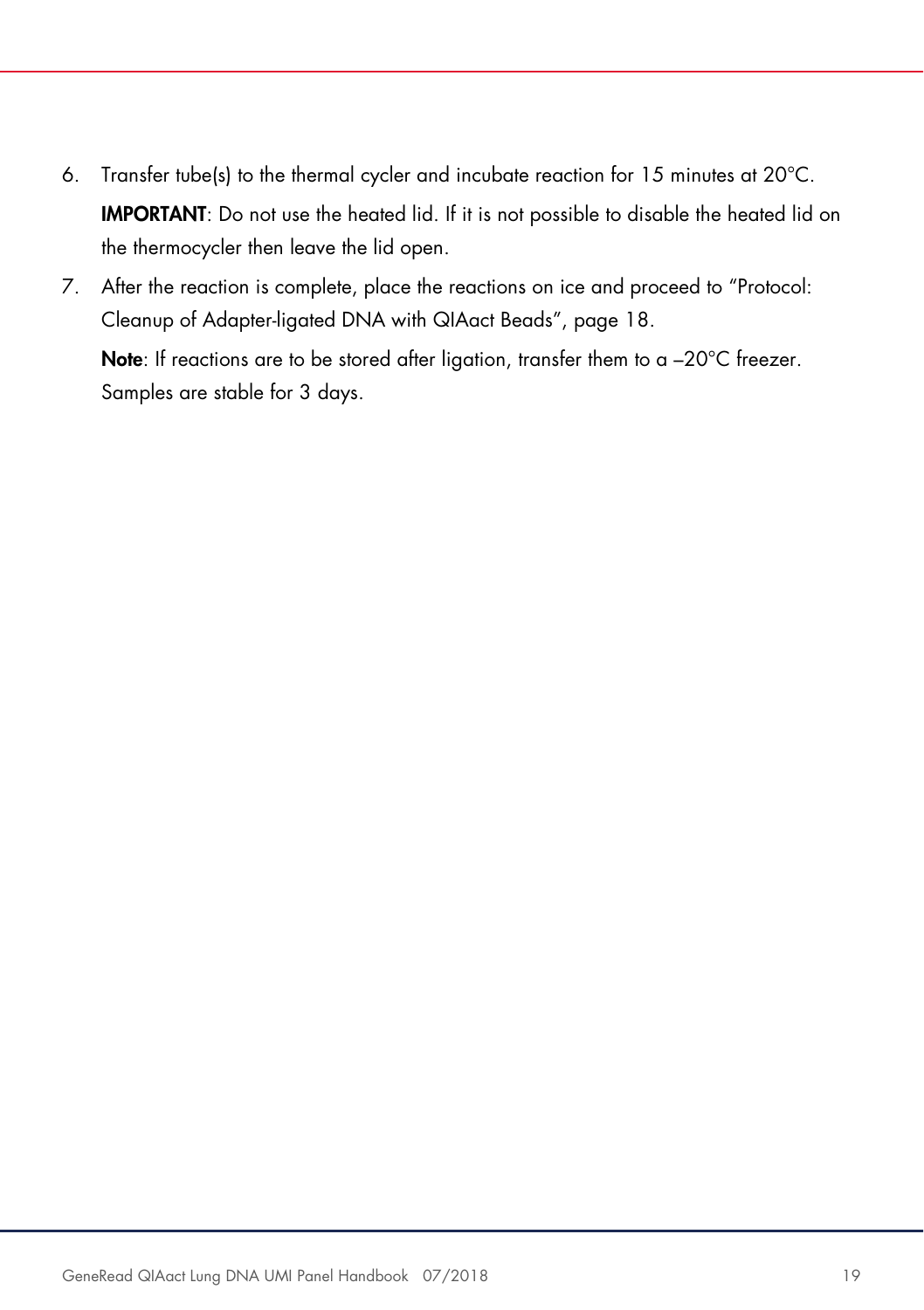- 6. Transfer tube(s) to the thermal cycler and incubate reaction for 15 minutes at 20°C. IMPORTANT: Do not use the heated lid. If it is not possible to disable the heated lid on the thermocycler then leave the lid open.
- 7. After the reaction is complete, place the reactions on ice and proceed to "Protocol: Cleanup of Adapter-ligated DNA with QIAact Beads", page 18.

Note: If reactions are to be stored after ligation, transfer them to a  $-20^{\circ}$ C freezer. Samples are stable for 3 days.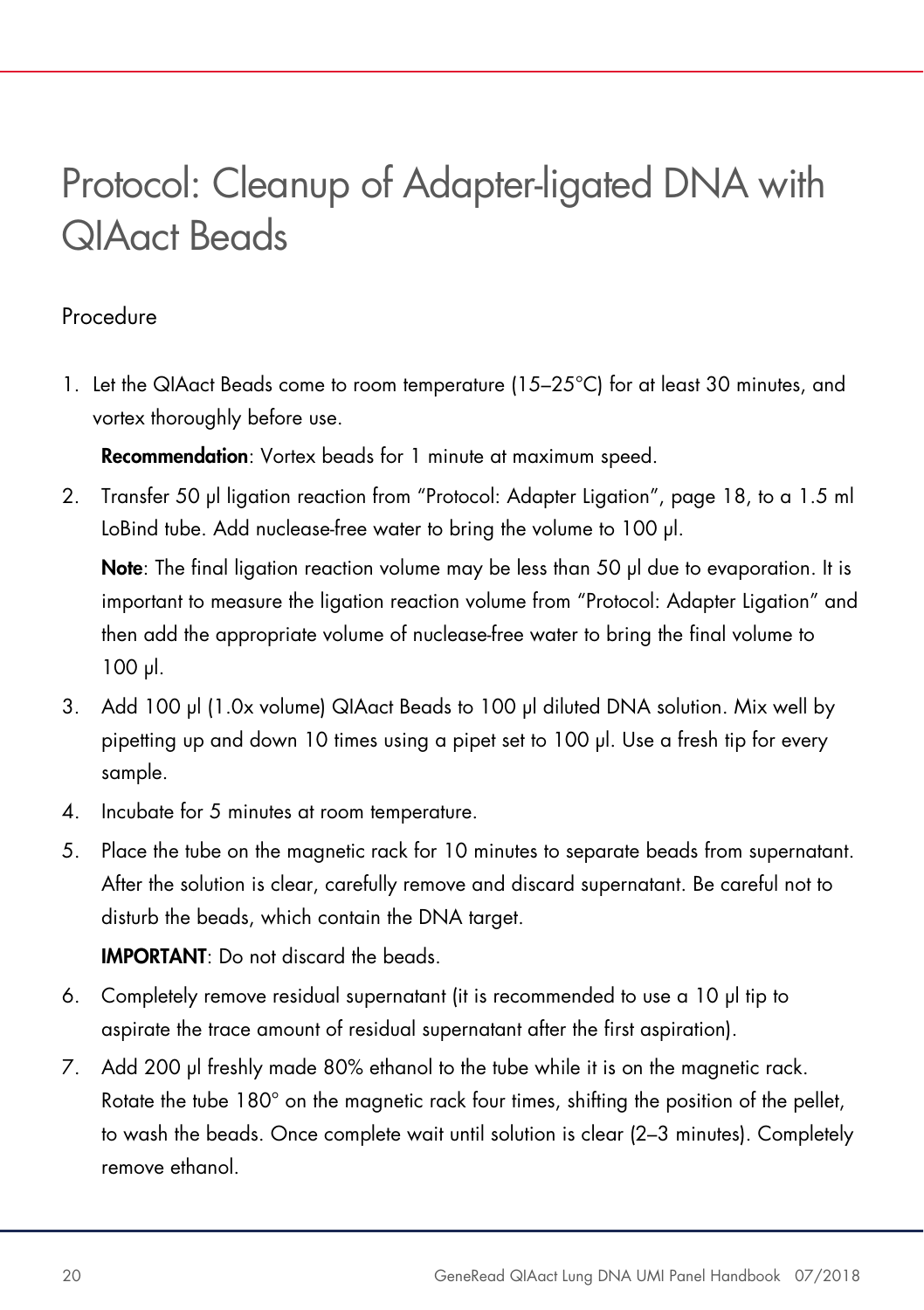### Protocol: Cleanup of Adapter-ligated DNA with QIAact Beads

#### Procedure

1. Let the QIAact Beads come to room temperature (15–25°C) for at least 30 minutes, and vortex thoroughly before use.

Recommendation: Vortex beads for 1 minute at maximum speed.

2. Transfer 50 µl ligation reaction from "Protocol: Adapter Ligation", page 18, to a 1.5 ml LoBind tube. Add nuclease-free water to bring the volume to 100 µl.

Note: The final ligation reaction volume may be less than 50 µl due to evaporation. It is important to measure the ligation reaction volume from "Protocol: Adapter Ligation" and then add the appropriate volume of nuclease-free water to bring the final volume to 100 µl.

- 3. Add 100 µl (1.0x volume) QIAact Beads to 100 µl diluted DNA solution. Mix well by pipetting up and down 10 times using a pipet set to 100 µl. Use a fresh tip for every sample.
- 4. Incubate for 5 minutes at room temperature.
- 5. Place the tube on the magnetic rack for 10 minutes to separate beads from supernatant. After the solution is clear, carefully remove and discard supernatant. Be careful not to disturb the beads, which contain the DNA target.

IMPORTANT: Do not discard the beads.

- 6. Completely remove residual supernatant (it is recommended to use a 10 µl tip to aspirate the trace amount of residual supernatant after the first aspiration).
- 7. Add 200 µl freshly made 80% ethanol to the tube while it is on the magnetic rack. Rotate the tube 180° on the magnetic rack four times, shifting the position of the pellet, to wash the beads. Once complete wait until solution is clear (2–3 minutes). Completely remove ethanol.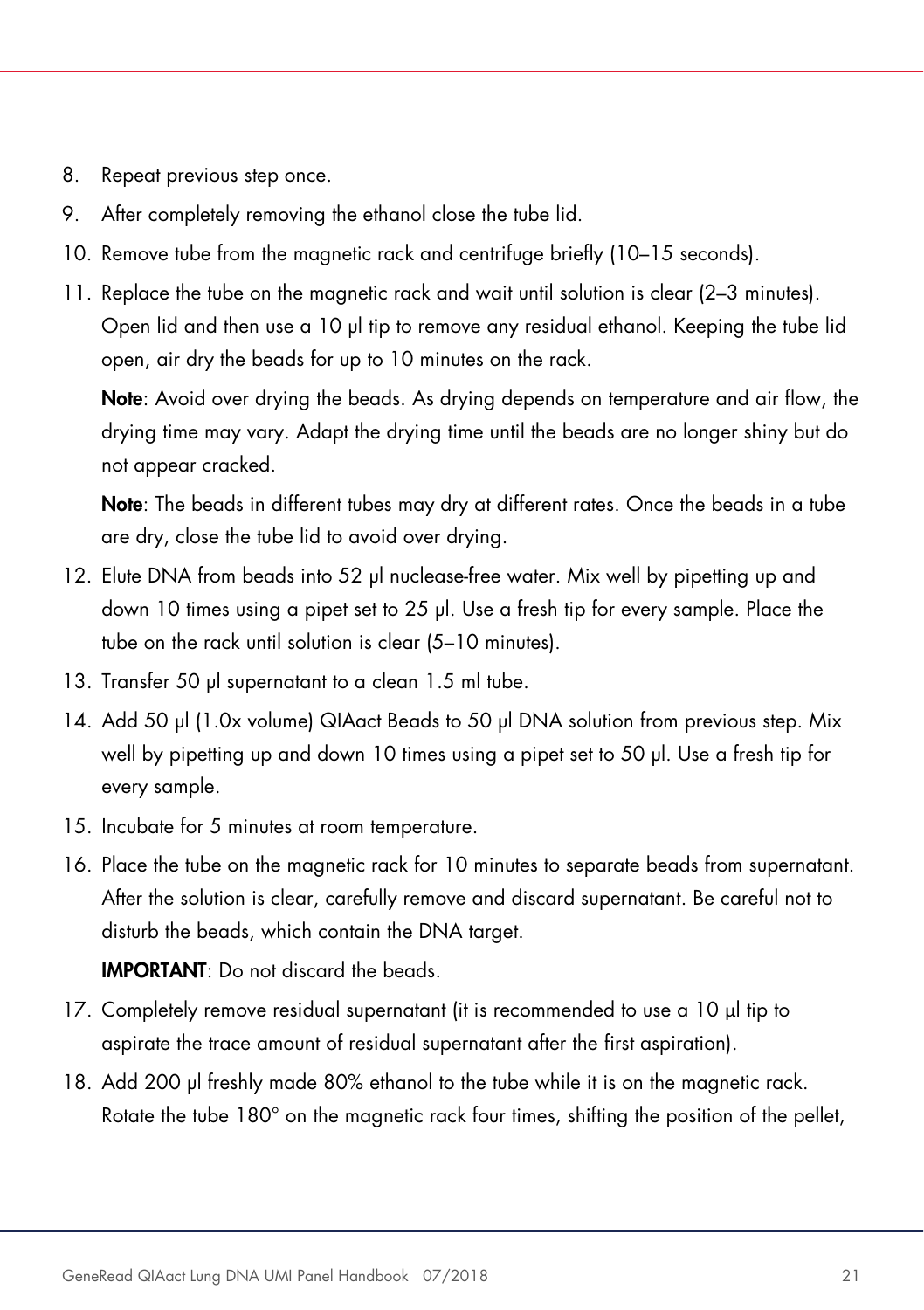- 8. Repeat previous step once.
- 9. After completely removing the ethanol close the tube lid.
- 10. Remove tube from the magnetic rack and centrifuge briefly (10–15 seconds).
- 11. Replace the tube on the magnetic rack and wait until solution is clear (2–3 minutes). Open lid and then use a 10 µl tip to remove any residual ethanol. Keeping the tube lid open, air dry the beads for up to 10 minutes on the rack.

Note: Avoid over drying the beads. As drying depends on temperature and air flow, the drying time may vary. Adapt the drying time until the beads are no longer shiny but do not appear cracked.

Note: The beads in different tubes may dry at different rates. Once the beads in a tube are dry, close the tube lid to avoid over drying.

- 12. Elute DNA from beads into 52 µl nuclease-free water. Mix well by pipetting up and down 10 times using a pipet set to 25 µl. Use a fresh tip for every sample. Place the tube on the rack until solution is clear (5–10 minutes).
- 13. Transfer 50 µl supernatant to a clean 1.5 ml tube.
- 14. Add 50 µl (1.0x volume) QIAact Beads to 50 µl DNA solution from previous step. Mix well by pipetting up and down 10 times using a pipet set to 50 µl. Use a fresh tip for every sample.
- 15. Incubate for 5 minutes at room temperature.
- 16. Place the tube on the magnetic rack for 10 minutes to separate beads from supernatant. After the solution is clear, carefully remove and discard supernatant. Be careful not to disturb the beads, which contain the DNA target.

IMPORTANT: Do not discard the beads.

- 17. Completely remove residual supernatant (it is recommended to use a 10 µl tip to aspirate the trace amount of residual supernatant after the first aspiration).
- 18. Add 200 µl freshly made 80% ethanol to the tube while it is on the magnetic rack. Rotate the tube 180° on the magnetic rack four times, shifting the position of the pellet,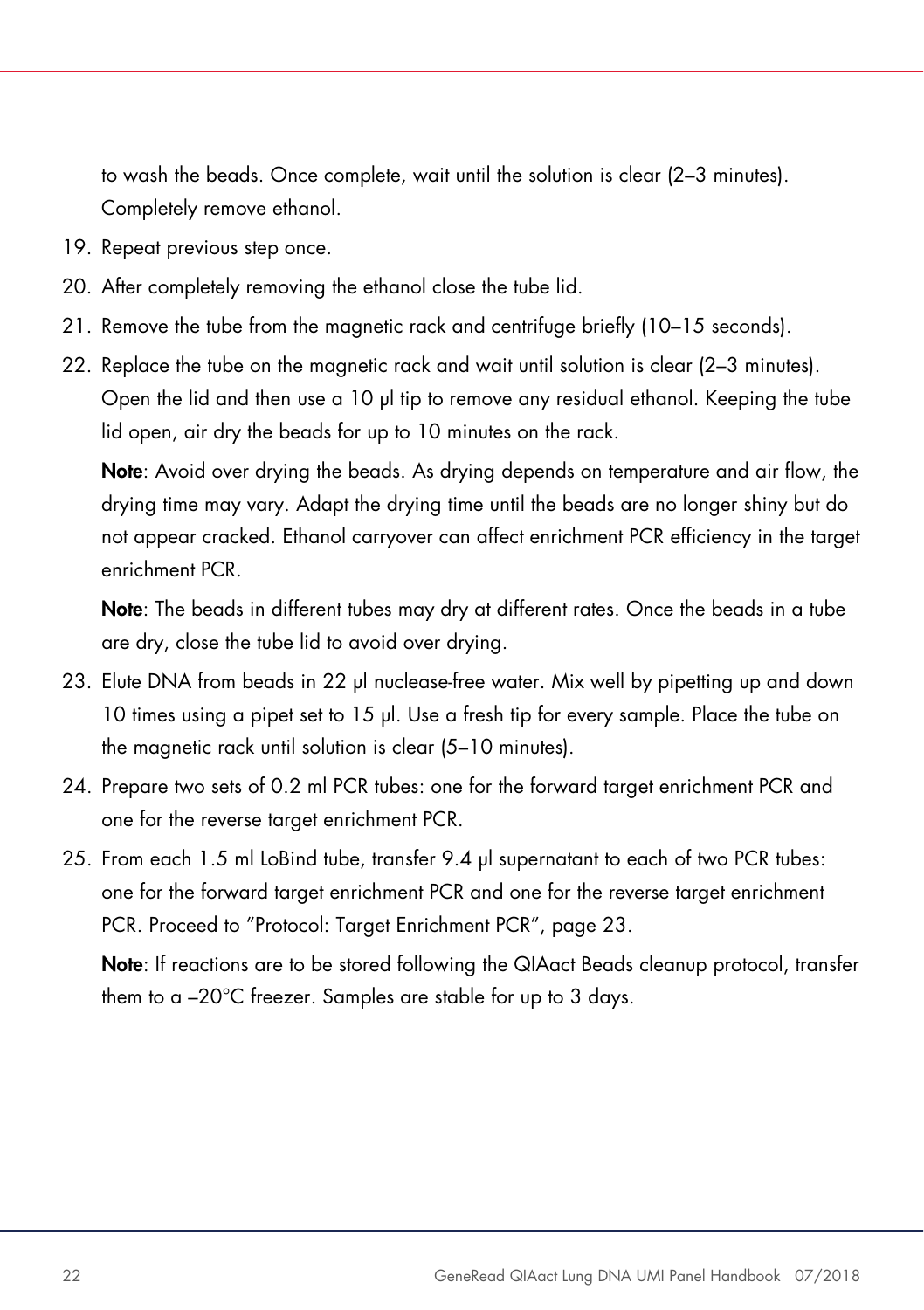to wash the beads. Once complete, wait until the solution is clear (2–3 minutes). Completely remove ethanol.

- 19. Repeat previous step once.
- 20. After completely removing the ethanol close the tube lid.
- 21. Remove the tube from the magnetic rack and centrifuge briefly (10–15 seconds).
- 22. Replace the tube on the magnetic rack and wait until solution is clear (2–3 minutes). Open the lid and then use a 10 µl tip to remove any residual ethanol. Keeping the tube lid open, air dry the beads for up to 10 minutes on the rack.

Note: Avoid over drying the beads. As drying depends on temperature and air flow, the drying time may vary. Adapt the drying time until the beads are no longer shiny but do not appear cracked. Ethanol carryover can affect enrichment PCR efficiency in the target enrichment PCR.

Note: The beads in different tubes may dry at different rates. Once the beads in a tube are dry, close the tube lid to avoid over drying.

- 23. Elute DNA from beads in 22 µl nuclease-free water. Mix well by pipetting up and down 10 times using a pipet set to 15 µl. Use a fresh tip for every sample. Place the tube on the magnetic rack until solution is clear (5–10 minutes).
- 24. Prepare two sets of 0.2 ml PCR tubes: one for the forward target enrichment PCR and one for the reverse target enrichment PCR.
- 25. From each 1.5 ml LoBind tube, transfer 9.4 µl supernatant to each of two PCR tubes: one for the forward target enrichment PCR and one for the reverse target enrichment PCR. Proceed to "Protocol: Target Enrichment PCR", page 23.

Note: If reactions are to be stored following the QIAact Beads cleanup protocol, transfer them to a –20°C freezer. Samples are stable for up to 3 days.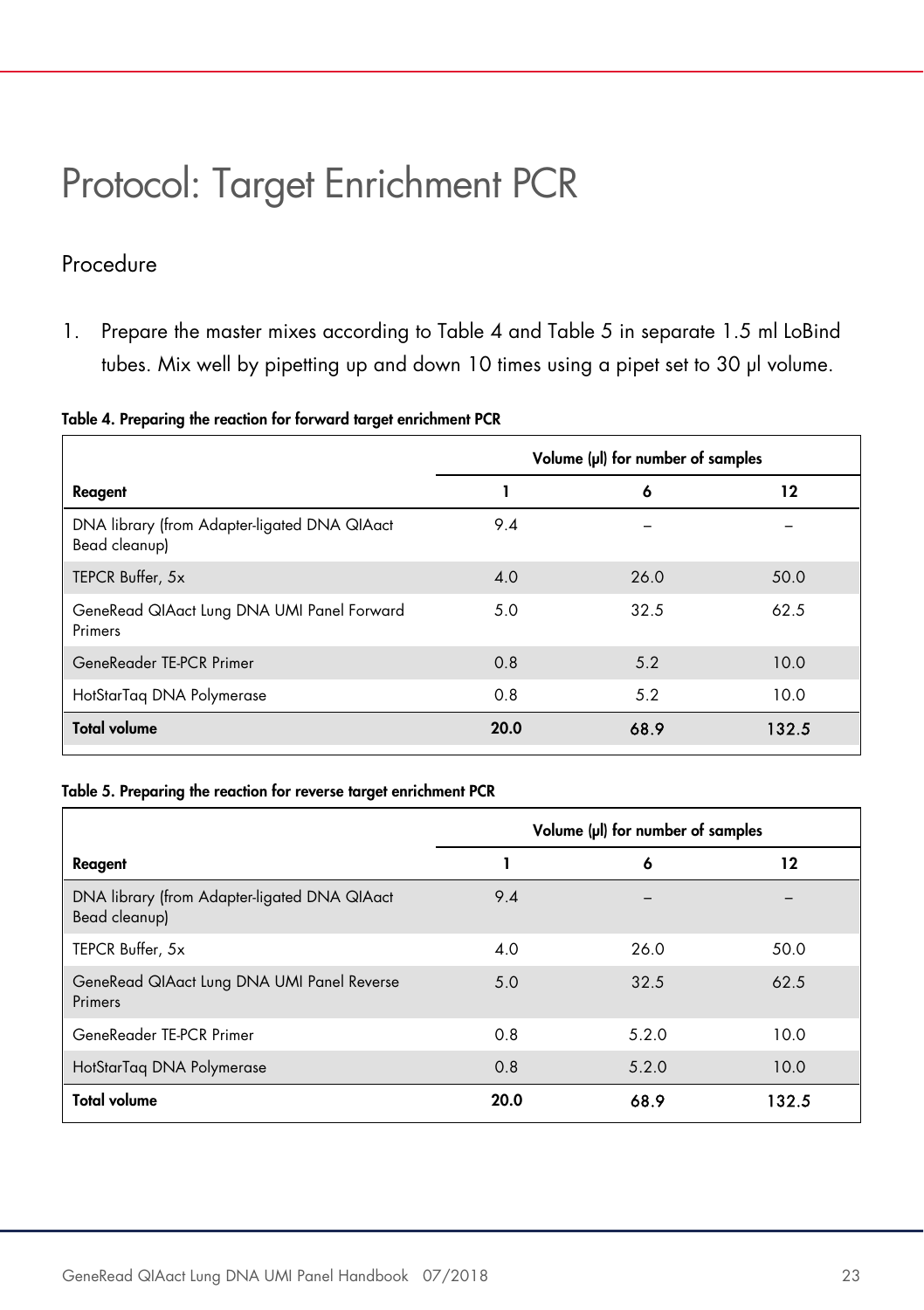### Protocol: Target Enrichment PCR

#### Procedure

1. Prepare the master mixes according to Table 4 and Table 5 in separate 1.5 ml LoBind tubes. Mix well by pipetting up and down 10 times using a pipet set to 30 µl volume.

|  |  |  | Table 4. Preparing the reaction for forward target enrichment PCR |  |  |  |  |  |
|--|--|--|-------------------------------------------------------------------|--|--|--|--|--|
|--|--|--|-------------------------------------------------------------------|--|--|--|--|--|

|                                                               | Volume (µl) for number of samples |      |       |  |
|---------------------------------------------------------------|-----------------------------------|------|-------|--|
| Reagent                                                       |                                   | 6    | 12    |  |
| DNA library (from Adapter-ligated DNA QIAact<br>Bead cleanup) | 9.4                               |      |       |  |
| TEPCR Buffer, 5x                                              | 4.0                               | 26.0 | 50.0  |  |
| GeneRead QIAact Lung DNA UMI Panel Forward<br>Primers         | 5.0                               | 32.5 | 62.5  |  |
| GeneReader TE-PCR Primer                                      | 0.8                               | 5.2  | 10.0  |  |
| HotStarTag DNA Polymerase                                     | 0.8                               | 5.2  | 10.0  |  |
| <b>Total volume</b>                                           | 20.0                              | 68.9 | 132.5 |  |

#### Table 5. Preparing the reaction for reverse target enrichment PCR

|                                                               | Volume (µI) for number of samples |       |       |  |
|---------------------------------------------------------------|-----------------------------------|-------|-------|--|
| Reagent                                                       |                                   | 6     | 12    |  |
| DNA library (from Adapter-ligated DNA QIAact<br>Bead cleanup) | 9.4                               |       |       |  |
| TEPCR Buffer, 5x                                              | 4.0                               | 26.0  | 50.0  |  |
| GeneRead QIAact Lung DNA UMI Panel Reverse<br>Primers         | 5.0                               | 32.5  | 62.5  |  |
| GeneReader TE-PCR Primer                                      | 0.8                               | 5.2.0 | 10.0  |  |
| HotStarTag DNA Polymerase                                     | 0.8                               | 5.2.0 | 10.0  |  |
| <b>Total volume</b>                                           | 20.0                              | 68.9  | 132.5 |  |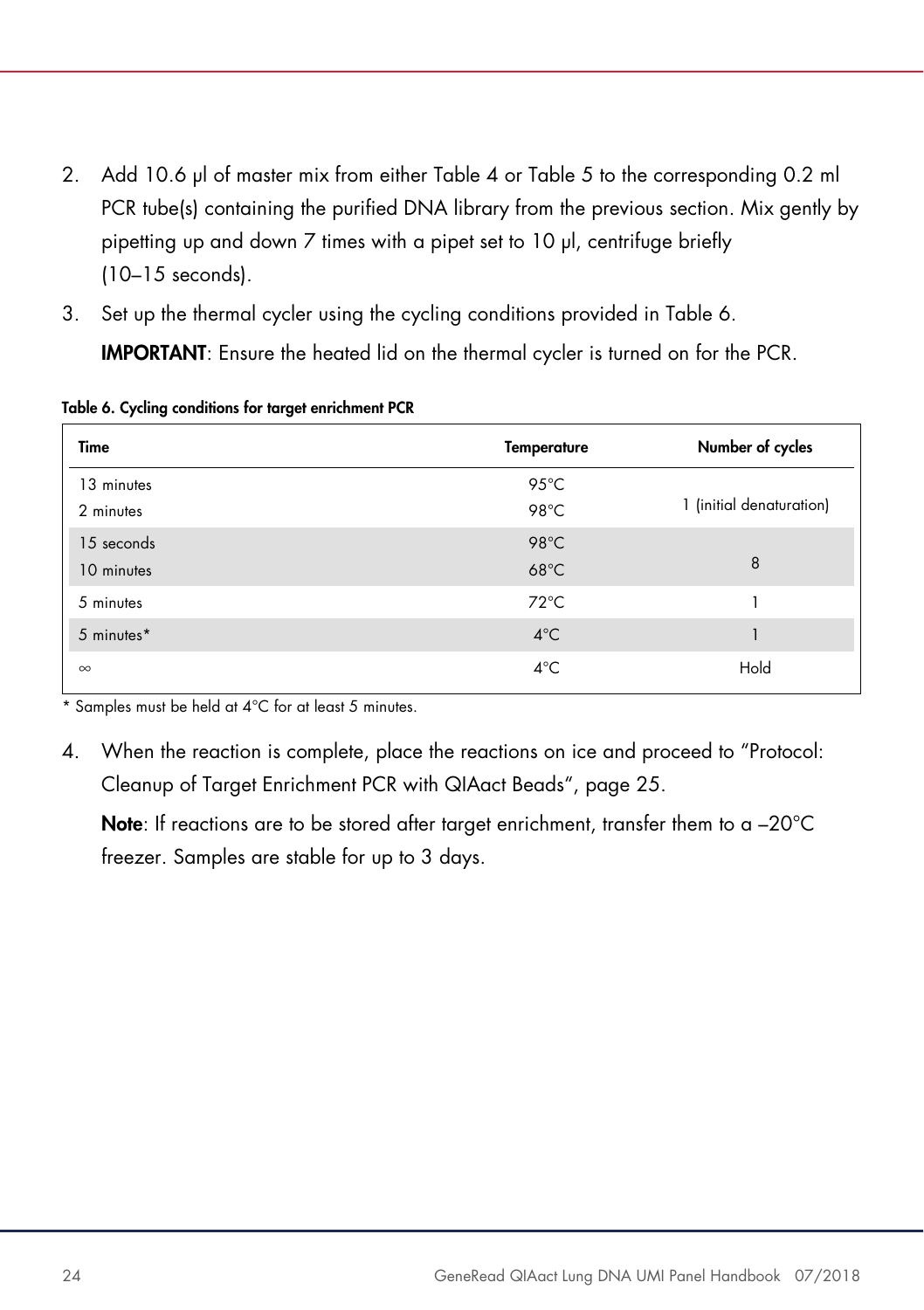- 2. Add 10.6 µl of master mix from either Table 4 or Table 5 to the corresponding 0.2 ml PCR tube(s) containing the purified DNA library from the previous section. Mix gently by pipetting up and down 7 times with a pipet set to 10 µl, centrifuge briefly (10–15 seconds).
- 3. Set up the thermal cycler using the cycling conditions provided in Table 6. IMPORTANT: Ensure the heated lid on the thermal cycler is turned on for the PCR.

| Time                     | <b>Temperature</b>     | Number of cycles         |
|--------------------------|------------------------|--------------------------|
| 13 minutes<br>2 minutes  | 95°C<br>98°C           | 1 (initial denaturation) |
| 15 seconds<br>10 minutes | 98°C<br>$68^{\circ}$ C | 8                        |
| 5 minutes                | $72^{\circ}$ C         |                          |
| 5 minutes*               | $4^{\circ}$ C          |                          |
| $\infty$                 | $4^{\circ}$ C          | Hold                     |

Table 6. Cycling conditions for target enrichment PCR

\* Samples must be held at 4°C for at least 5 minutes.

4. When the reaction is complete, place the reactions on ice and proceed to "Protocol: Cleanup of Target Enrichment PCR with QIAact Beads", page 25.

Note: If reactions are to be stored after target enrichment, transfer them to a -20°C freezer. Samples are stable for up to 3 days.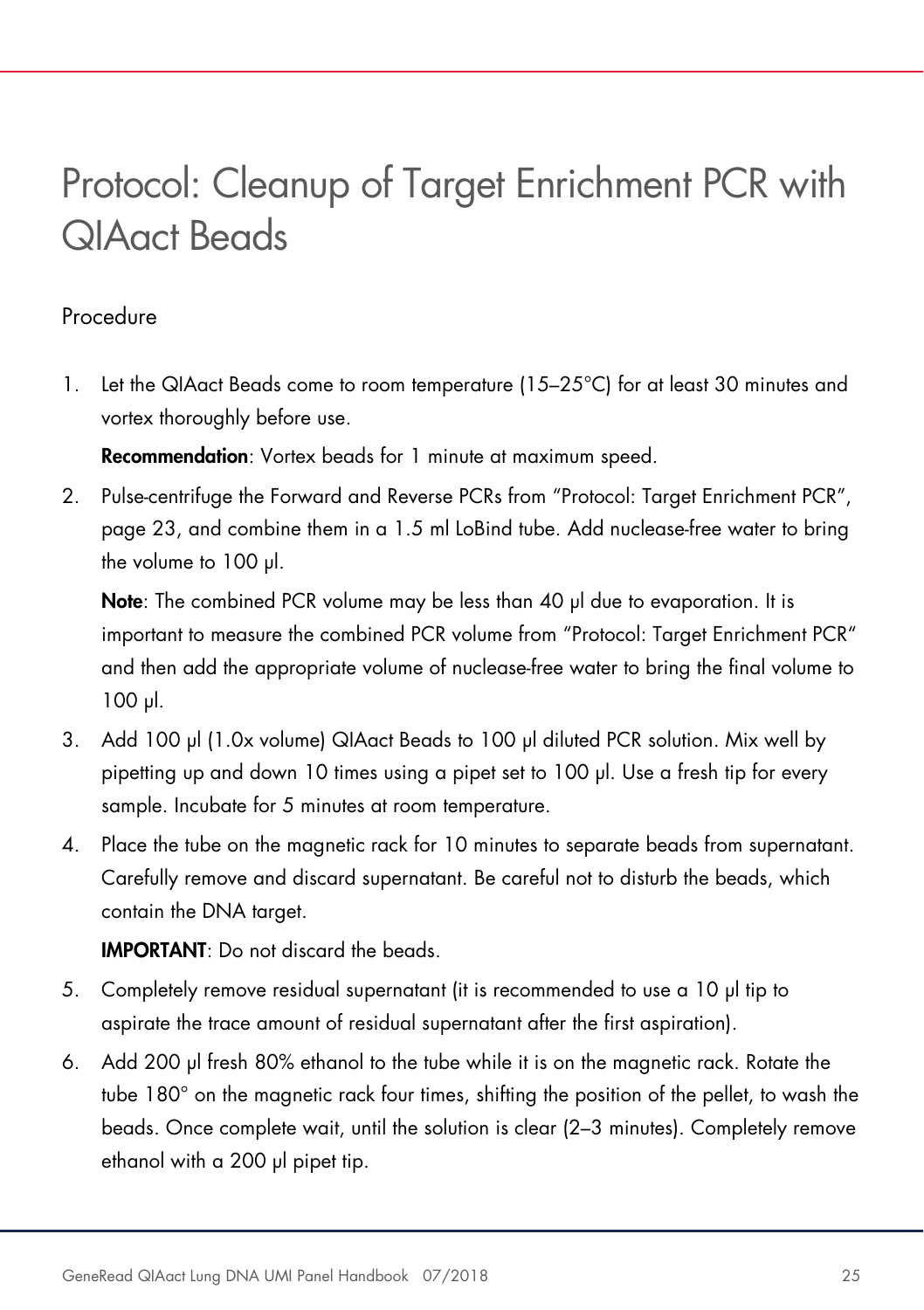### Protocol: Cleanup of Target Enrichment PCR with QIAact Beads

#### Procedure

1. Let the QIAact Beads come to room temperature (15–25°C) for at least 30 minutes and vortex thoroughly before use.

Recommendation: Vortex beads for 1 minute at maximum speed.

2. Pulse-centrifuge the Forward and Reverse PCRs from "Protocol: Target Enrichment PCR", page 23, and combine them in a 1.5 ml LoBind tube. Add nuclease-free water to bring the volume to 100 µl.

Note: The combined PCR volume may be less than 40 µl due to evaporation. It is important to measure the combined PCR volume from "Protocol: Target Enrichment PCR" and then add the appropriate volume of nuclease-free water to bring the final volume to 100 µl.

- 3. Add 100 µl (1.0x volume) QIAact Beads to 100 µl diluted PCR solution. Mix well by pipetting up and down 10 times using a pipet set to 100 µl. Use a fresh tip for every sample. Incubate for 5 minutes at room temperature.
- 4. Place the tube on the magnetic rack for 10 minutes to separate beads from supernatant. Carefully remove and discard supernatant. Be careful not to disturb the beads, which contain the DNA target.

IMPORTANT: Do not discard the beads.

- 5. Completely remove residual supernatant (it is recommended to use a 10 µl tip to aspirate the trace amount of residual supernatant after the first aspiration).
- 6. Add 200 µl fresh 80% ethanol to the tube while it is on the magnetic rack. Rotate the tube 180° on the magnetic rack four times, shifting the position of the pellet, to wash the beads. Once complete wait, until the solution is clear (2–3 minutes). Completely remove ethanol with a 200 µl pipet tip.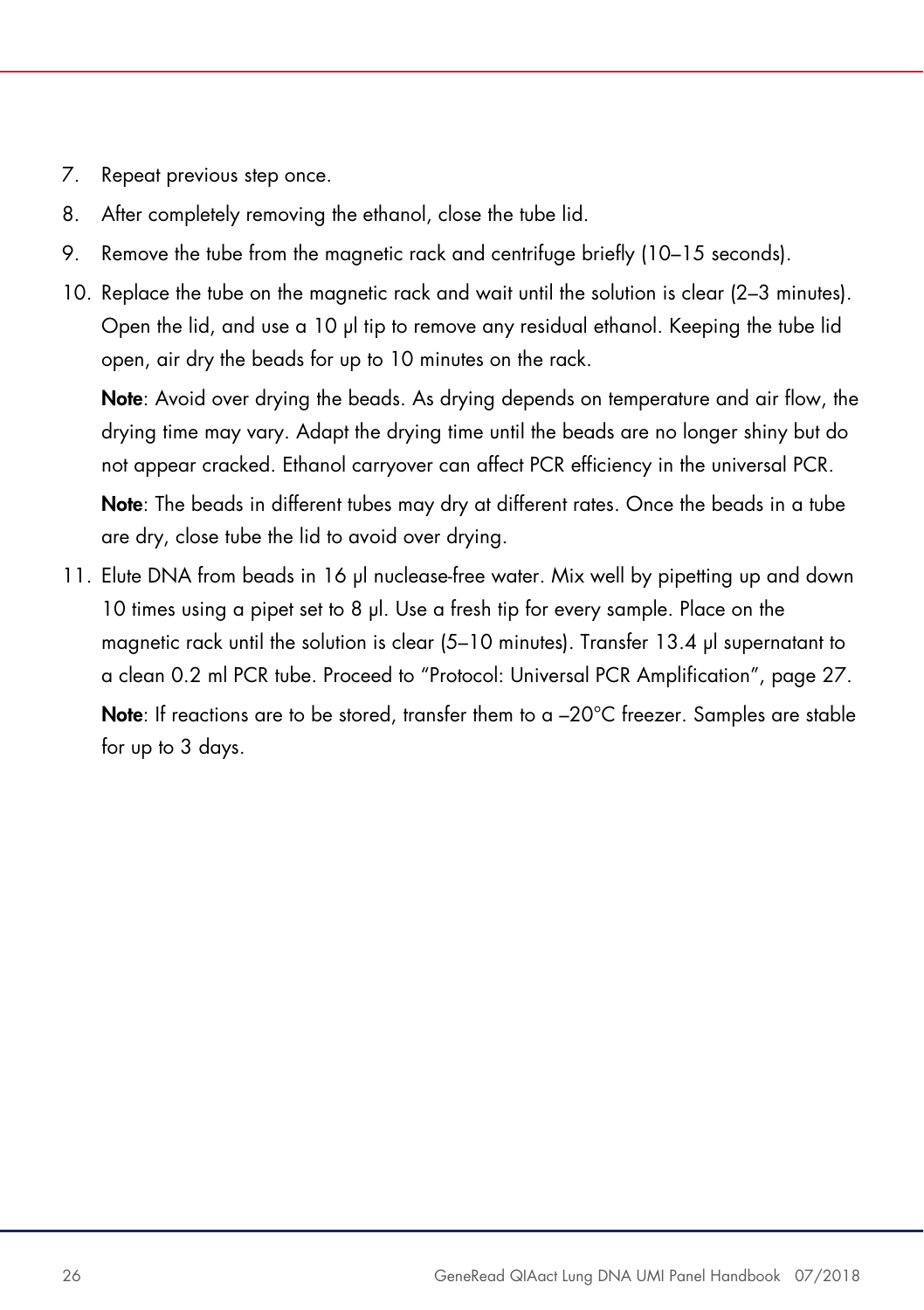- 7. Repeat previous step once.
- 8. After completely removing the ethanol, close the tube lid.
- 9. Remove the tube from the magnetic rack and centrifuge briefly (10–15 seconds).
- 10. Replace the tube on the magnetic rack and wait until the solution is clear (2–3 minutes). Open the lid, and use a 10 µl tip to remove any residual ethanol. Keeping the tube lid open, air dry the beads for up to 10 minutes on the rack.

Note: Avoid over drying the beads. As drying depends on temperature and air flow, the drying time may vary. Adapt the drying time until the beads are no longer shiny but do not appear cracked. Ethanol carryover can affect PCR efficiency in the universal PCR.

Note: The beads in different tubes may dry at different rates. Once the beads in a tube are dry, close tube the lid to avoid over drying.

11. Elute DNA from beads in 16 µl nuclease-free water. Mix well by pipetting up and down 10 times using a pipet set to 8 µl. Use a fresh tip for every sample. Place on the magnetic rack until the solution is clear (5–10 minutes). Transfer 13.4 µl supernatant to a clean 0.2 ml PCR tube. Proceed to "Protocol: Universal PCR Amplification", page 27.

**Note:** If reactions are to be stored, transfer them to a  $-20^{\circ}$ C freezer. Samples are stable for up to 3 days.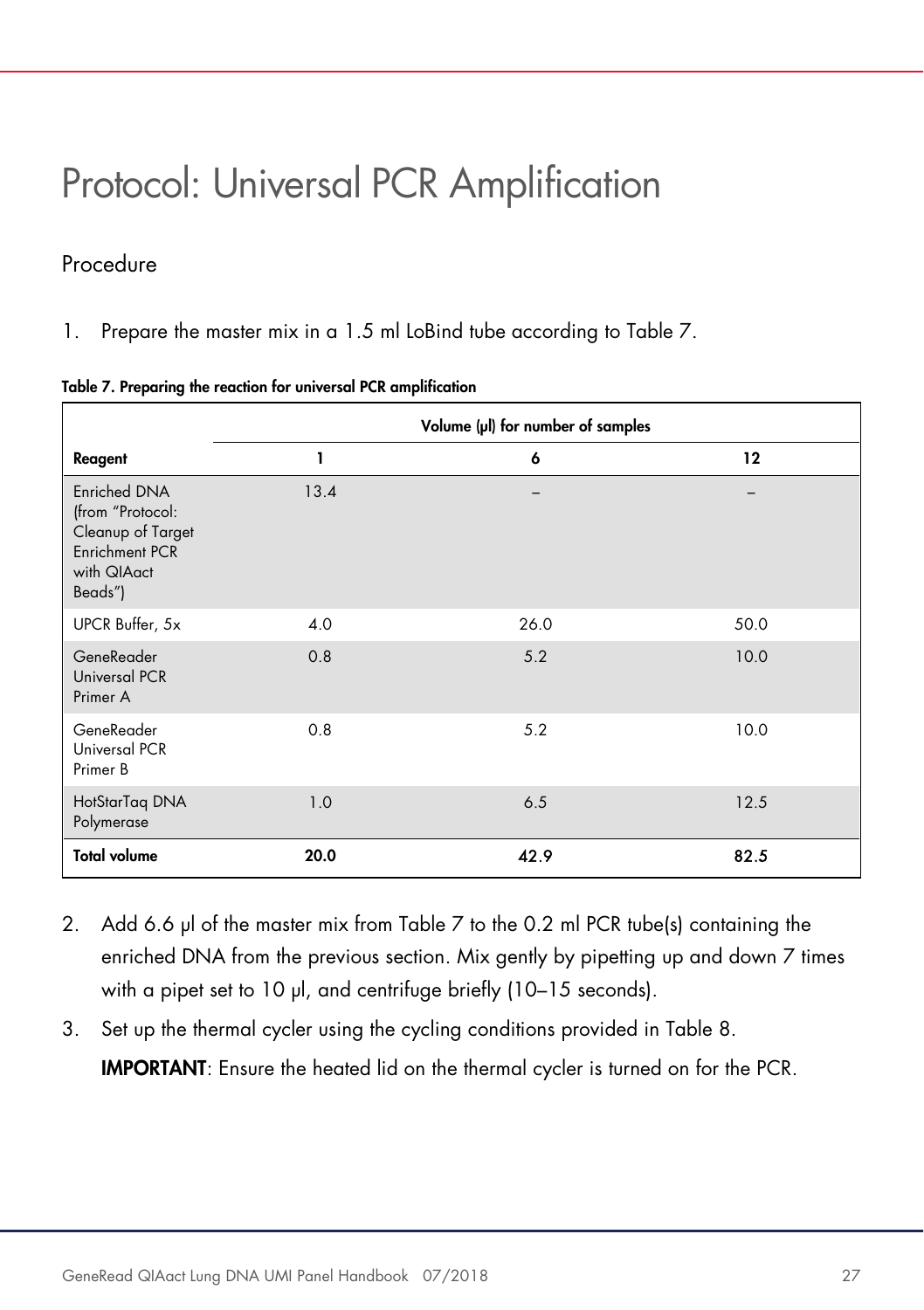### Protocol: Universal PCR Amplification

#### Procedure

1. Prepare the master mix in a 1.5 ml LoBind tube according to Table 7.

|  |  |  | Table 7. Preparing the reaction for universal PCR amplification |
|--|--|--|-----------------------------------------------------------------|
|--|--|--|-----------------------------------------------------------------|

|                                                                                                   | Volume (µl) for number of samples |      |      |
|---------------------------------------------------------------------------------------------------|-----------------------------------|------|------|
| Reagent                                                                                           | ī                                 | 6    | 12   |
| Enriched DNA<br>(from "Protocol:<br>Cleanup of Target<br>Enrichment PCR<br>with QIAact<br>Beads") | 13.4                              |      |      |
| UPCR Buffer, 5x                                                                                   | 4.0                               | 26.0 | 50.0 |
| GeneReader<br>Universal PCR<br>Primer A                                                           | 0.8                               | 5.2  | 10.0 |
| GeneReader<br>Universal PCR<br>Primer B                                                           | 0.8                               | 5.2  | 10.0 |
| HotStarTag DNA<br>Polymerase                                                                      | 1.0                               | 6.5  | 12.5 |
| <b>Total volume</b>                                                                               | 20.0                              | 42.9 | 82.5 |

- 2. Add 6.6 µ of the master mix from Table 7 to the 0.2 ml PCR tube(s) containing the enriched DNA from the previous section. Mix gently by pipetting up and down 7 times with a pipet set to 10 µl, and centrifuge briefly (10–15 seconds).
- 3. Set up the thermal cycler using the cycling conditions provided in Table 8. IMPORTANT: Ensure the heated lid on the thermal cycler is turned on for the PCR.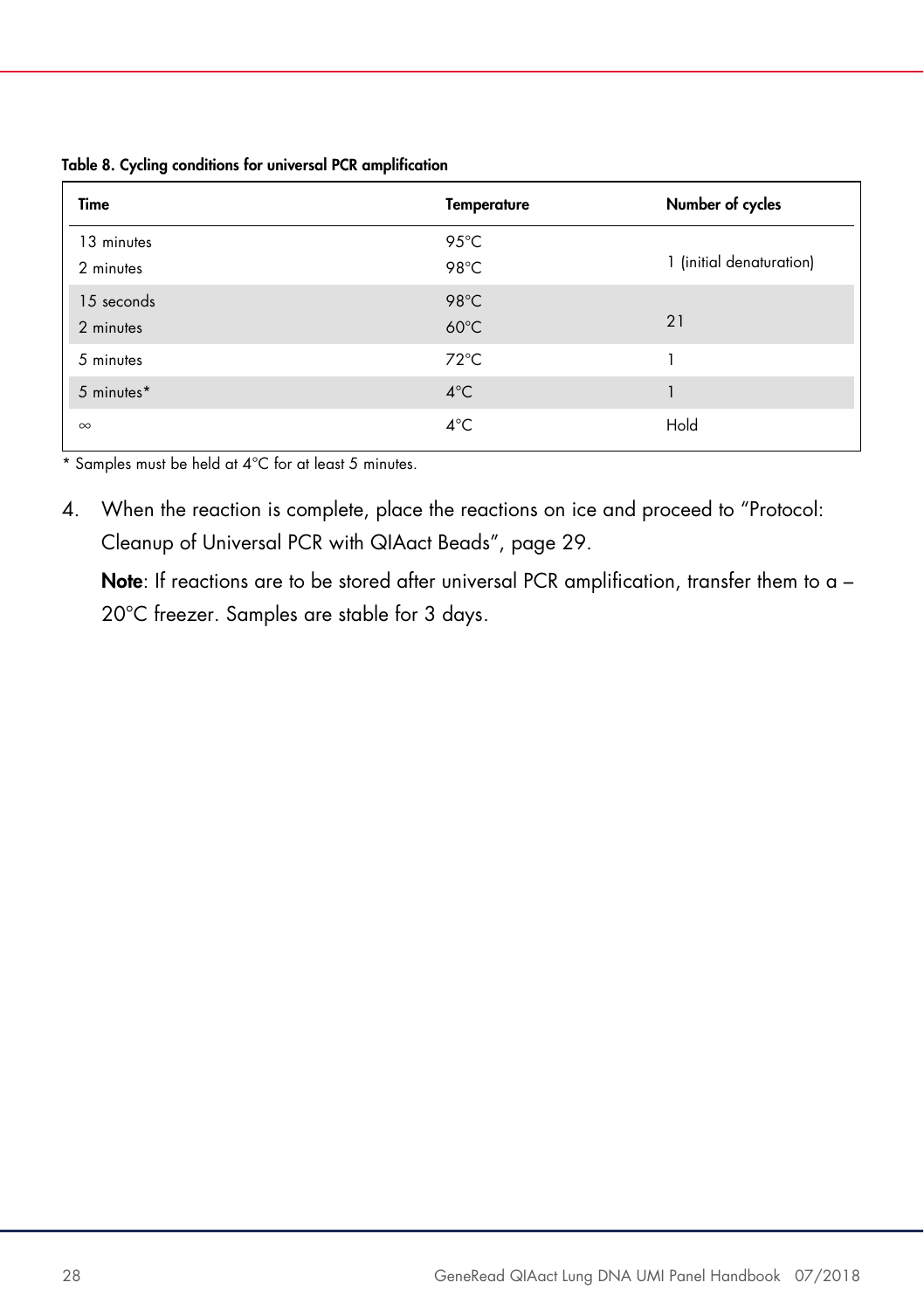Table 8. Cycling conditions for universal PCR amplification

| Time                    | <b>Temperature</b>     | Number of cycles         |
|-------------------------|------------------------|--------------------------|
| 13 minutes<br>2 minutes | 95°C<br>98°C           | 1 (initial denaturation) |
| 15 seconds<br>2 minutes | 98°C<br>$60^{\circ}$ C | 21                       |
| 5 minutes               | $72^{\circ}$ C         |                          |
| 5 minutes*              | $4^{\circ}$ C          |                          |
| $\infty$                | $4^{\circ}$ C          | Hold                     |

\* Samples must be held at 4°C for at least 5 minutes.

4. When the reaction is complete, place the reactions on ice and proceed to "Protocol: Cleanup of Universal PCR with QIAact Beads", page 29.

Note: If reactions are to be stored after universal PCR amplification, transfer them to a -20°C freezer. Samples are stable for 3 days.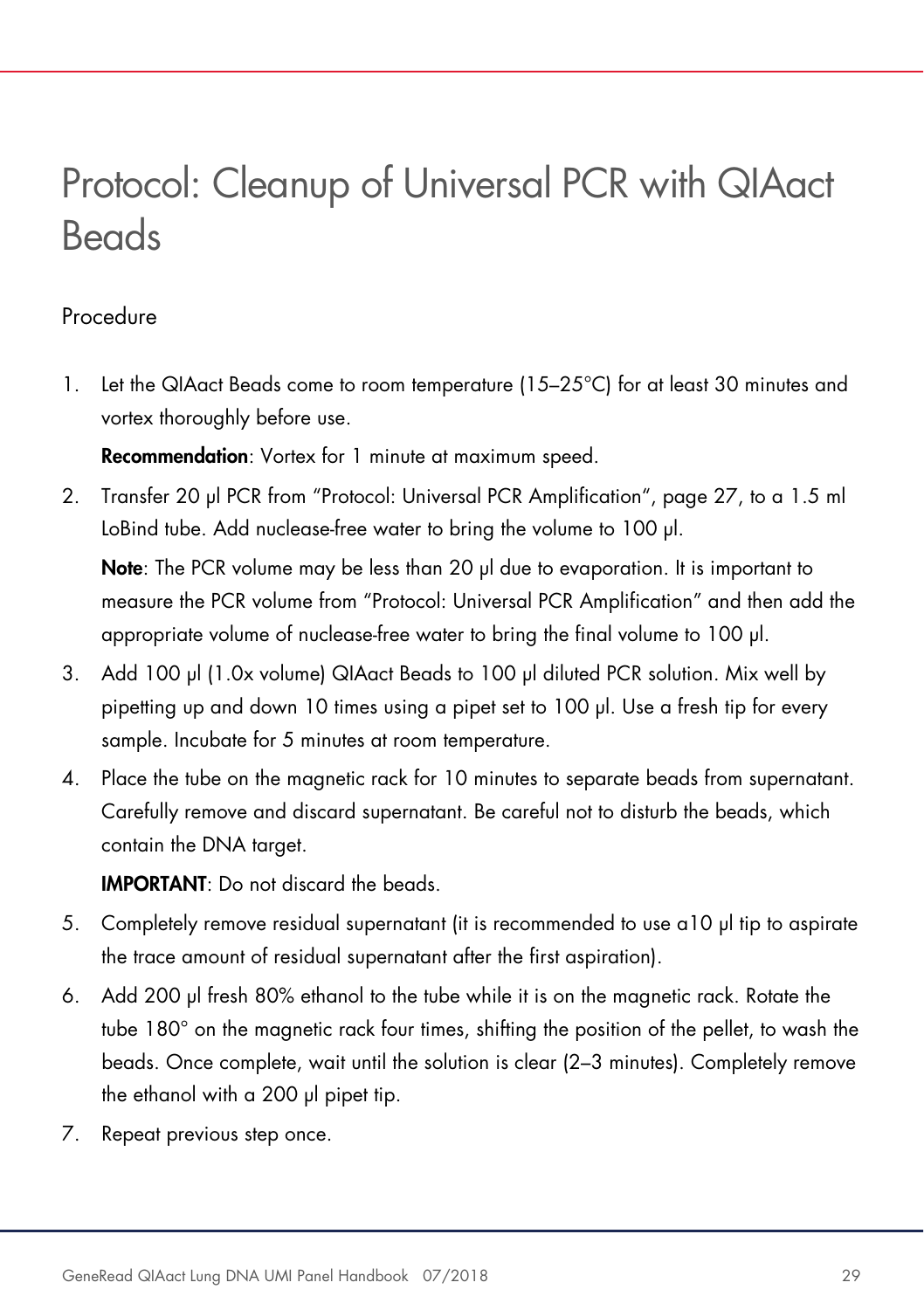### Protocol: Cleanup of Universal PCR with QIAact **Beads**

#### Procedure

1. Let the QIAact Beads come to room temperature (15–25°C) for at least 30 minutes and vortex thoroughly before use.

Recommendation: Vortex for 1 minute at maximum speed.

2. Transfer 20 µl PCR from "Protocol: Universal PCR Amplification", page 27, to a 1.5 ml LoBind tube. Add nuclease-free water to bring the volume to 100 µl.

Note: The PCR volume may be less than 20 µl due to evaporation. It is important to measure the PCR volume from "Protocol: Universal PCR Amplification" and then add the appropriate volume of nuclease-free water to bring the final volume to 100 µl.

- 3. Add 100 µl (1.0x volume) QIAact Beads to 100 µl diluted PCR solution. Mix well by pipetting up and down 10 times using a pipet set to 100 µl. Use a fresh tip for every sample. Incubate for 5 minutes at room temperature.
- 4. Place the tube on the magnetic rack for 10 minutes to separate beads from supernatant. Carefully remove and discard supernatant. Be careful not to disturb the beads, which contain the DNA target.

IMPORTANT: Do not discard the beads.

- 5. Completely remove residual supernatant (it is recommended to use a10 µl tip to aspirate the trace amount of residual supernatant after the first aspiration).
- 6. Add 200 µl fresh 80% ethanol to the tube while it is on the magnetic rack. Rotate the tube 180° on the magnetic rack four times, shifting the position of the pellet, to wash the beads. Once complete, wait until the solution is clear (2–3 minutes). Completely remove the ethanol with a 200 µl pipet tip.
- 7. Repeat previous step once.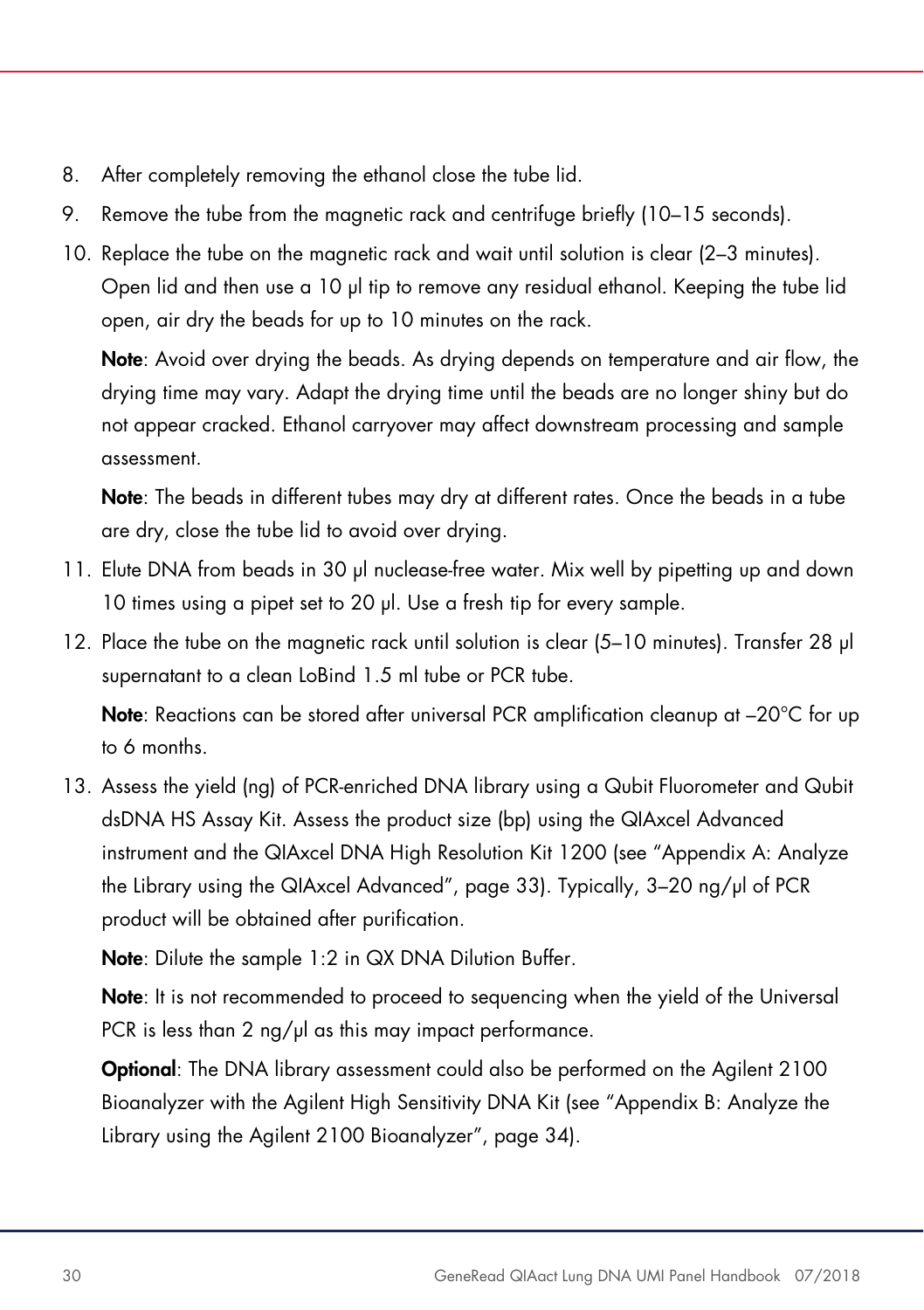- 8. After completely removing the ethanol close the tube lid.
- 9. Remove the tube from the magnetic rack and centrifuge briefly (10–15 seconds).
- 10. Replace the tube on the magnetic rack and wait until solution is clear (2–3 minutes). Open lid and then use a 10 µl tip to remove any residual ethanol. Keeping the tube lid open, air dry the beads for up to 10 minutes on the rack.

Note: Avoid over drying the beads. As drying depends on temperature and air flow, the drying time may vary. Adapt the drying time until the beads are no longer shiny but do not appear cracked. Ethanol carryover may affect downstream processing and sample assessment.

Note: The beads in different tubes may dry at different rates. Once the beads in a tube are dry, close the tube lid to avoid over drying.

- 11. Elute DNA from beads in 30 µl nuclease-free water. Mix well by pipetting up and down 10 times using a pipet set to 20 µl. Use a fresh tip for every sample.
- 12. Place the tube on the magnetic rack until solution is clear (5–10 minutes). Transfer 28 µl supernatant to a clean LoBind 1.5 ml tube or PCR tube.

Note: Reactions can be stored after universal PCR amplification cleanup at −20°C for up to 6 months.

13. Assess the yield (ng) of PCR-enriched DNA library using a Qubit Fluorometer and Qubit dsDNA HS Assay Kit. Assess the product size (bp) using the QIAxcel Advanced instrument and the QIAxcel DNA High Resolution Kit 1200 (see "Appendix A: Analyze the Library using the QIAxcel Advanced", page 33). Typically, 3–20 ng/µl of PCR product will be obtained after purification.

Note: Dilute the sample 1:2 in QX DNA Dilution Buffer.

Note: It is not recommended to proceed to sequencing when the yield of the Universal PCR is less than  $2$  ng/ $\mu$ l as this may impact performance.

Optional: The DNA library assessment could also be performed on the Agilent 2100 Bioanalyzer with the Agilent High Sensitivity DNA Kit (see "Appendix B: Analyze the Library using the Agilent 2100 Bioanalyzer", page 34).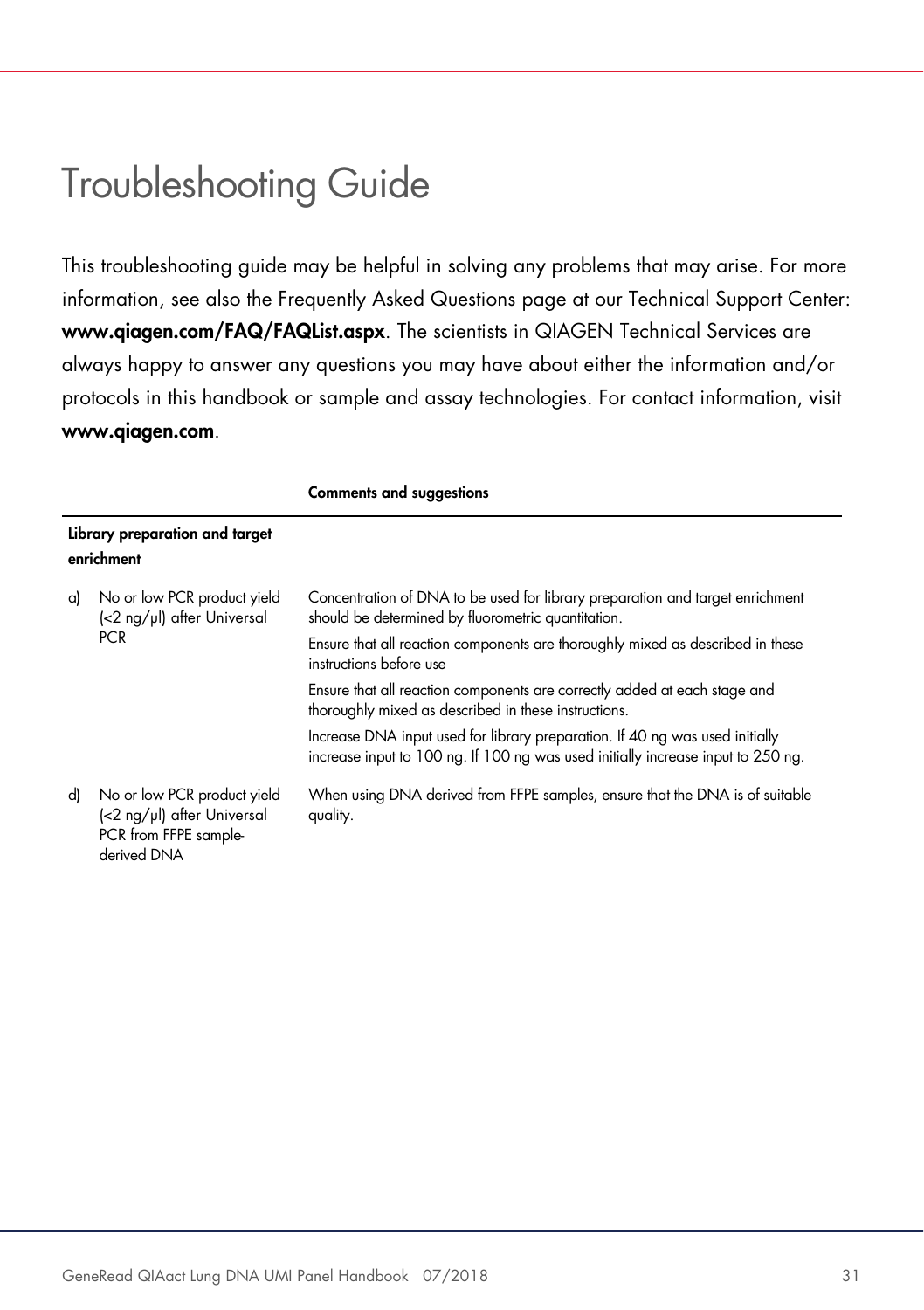### Troubleshooting Guide

This troubleshooting guide may be helpful in solving any problems that may arise. For more information, see also the Frequently Asked Questions page at our Technical Support Center: www.qiagen.com/FAQ/FAQList.aspx. The scientists in QIAGEN Technical Services are always happy to answer any questions you may have about either the information and/or protocols in this handbook or sample and assay technologies. For contact information, visit www.qiagen.com.

|    |                                                                                                   | <b>Comments and suggestions</b>                                                                                                                                  |  |
|----|---------------------------------------------------------------------------------------------------|------------------------------------------------------------------------------------------------------------------------------------------------------------------|--|
|    | Library preparation and target<br>enrichment                                                      |                                                                                                                                                                  |  |
| a) | No or low PCR product yield<br>(<2 ng/µl) after Universal<br><b>PCR</b>                           | Concentration of DNA to be used for library preparation and target enrichment<br>should be determined by fluorometric quantitation.                              |  |
|    |                                                                                                   | Ensure that all reaction components are thoroughly mixed as described in these<br>instructions before use                                                        |  |
|    |                                                                                                   | Ensure that all reaction components are correctly added at each stage and<br>thoroughly mixed as described in these instructions.                                |  |
|    |                                                                                                   | Increase DNA input used for library preparation. If 40 ng was used initially<br>increase input to 100 ng. If 100 ng was used initially increase input to 250 ng. |  |
| d) | No or low PCR product yield<br>(<2 ng/µl) after Universal<br>PCR from FFPE sample-<br>derived DNA | When using DNA derived from FFPE samples, ensure that the DNA is of suitable<br>quality.                                                                         |  |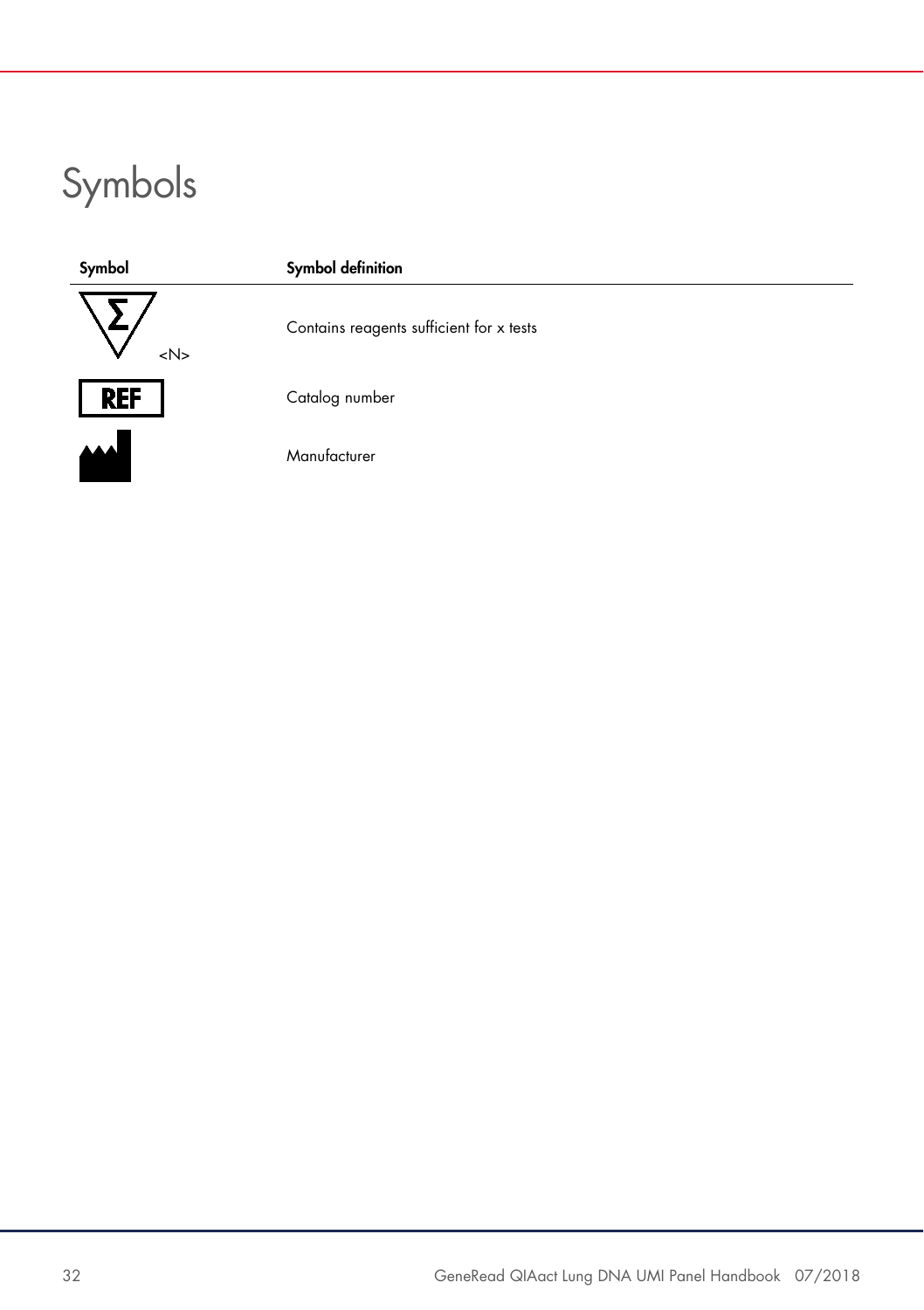# Symbols

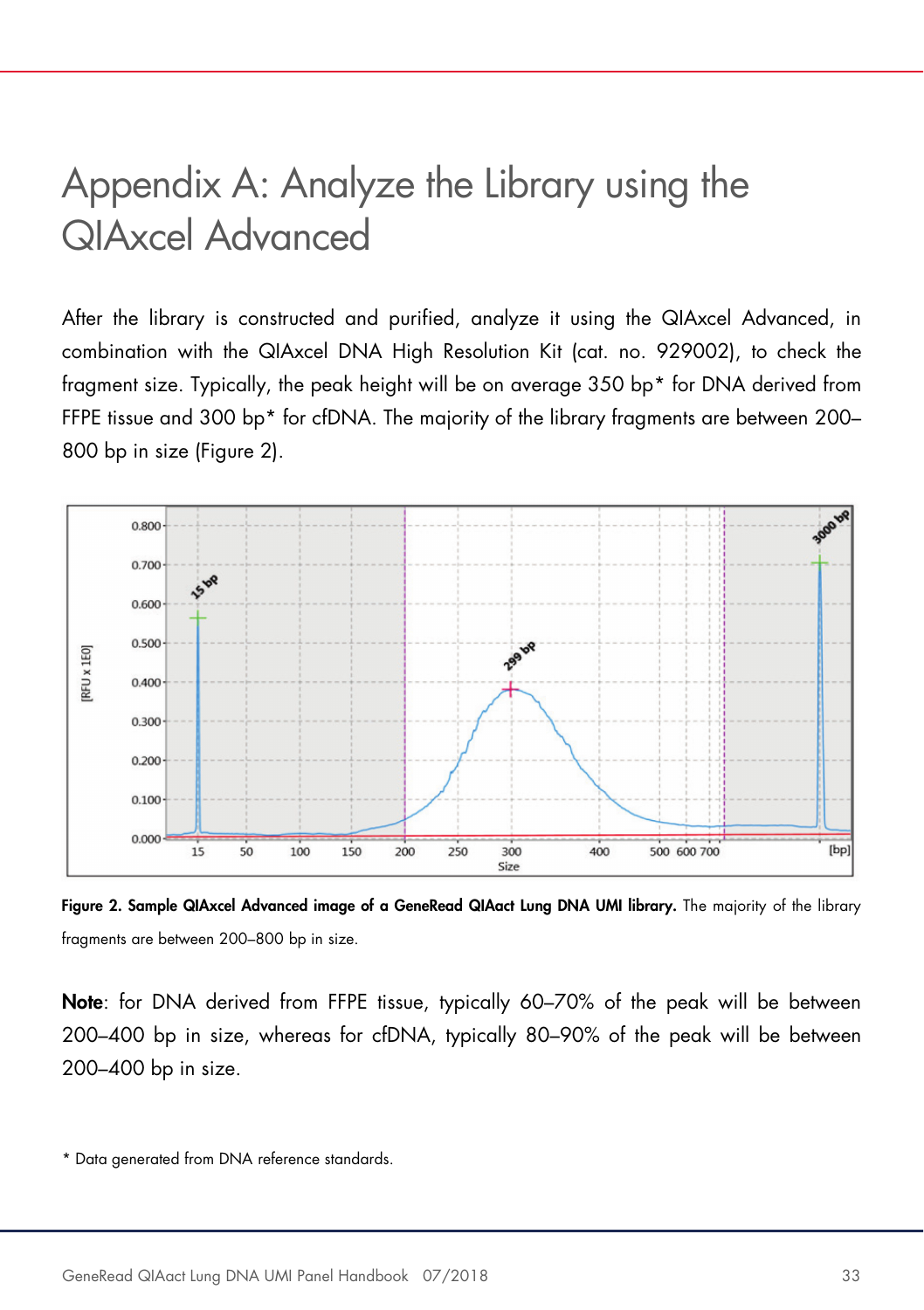### Appendix A: Analyze the Library using the QIAxcel Advanced

After the library is constructed and purified, analyze it using the QIAxcel Advanced, in combination with the QIAxcel DNA High Resolution Kit (cat. no. 929002), to check the fragment size. Typically, the peak height will be on average 350 bp\* for DNA derived from FFPE tissue and 300 bp\* for cfDNA. The majority of the library fragments are between 200– 800 bp in size (Figure 2).



Figure 2. Sample QIAxcel Advanced image of a GeneRead QIAact Lung DNA UMI library. The majority of the library fragments are between 200–800 bp in size.

Note: for DNA derived from FFPE tissue, typically 60–70% of the peak will be between 200–400 bp in size, whereas for cfDNA, typically 80–90% of the peak will be between 200–400 bp in size.

<sup>\*</sup> Data generated from DNA reference standards.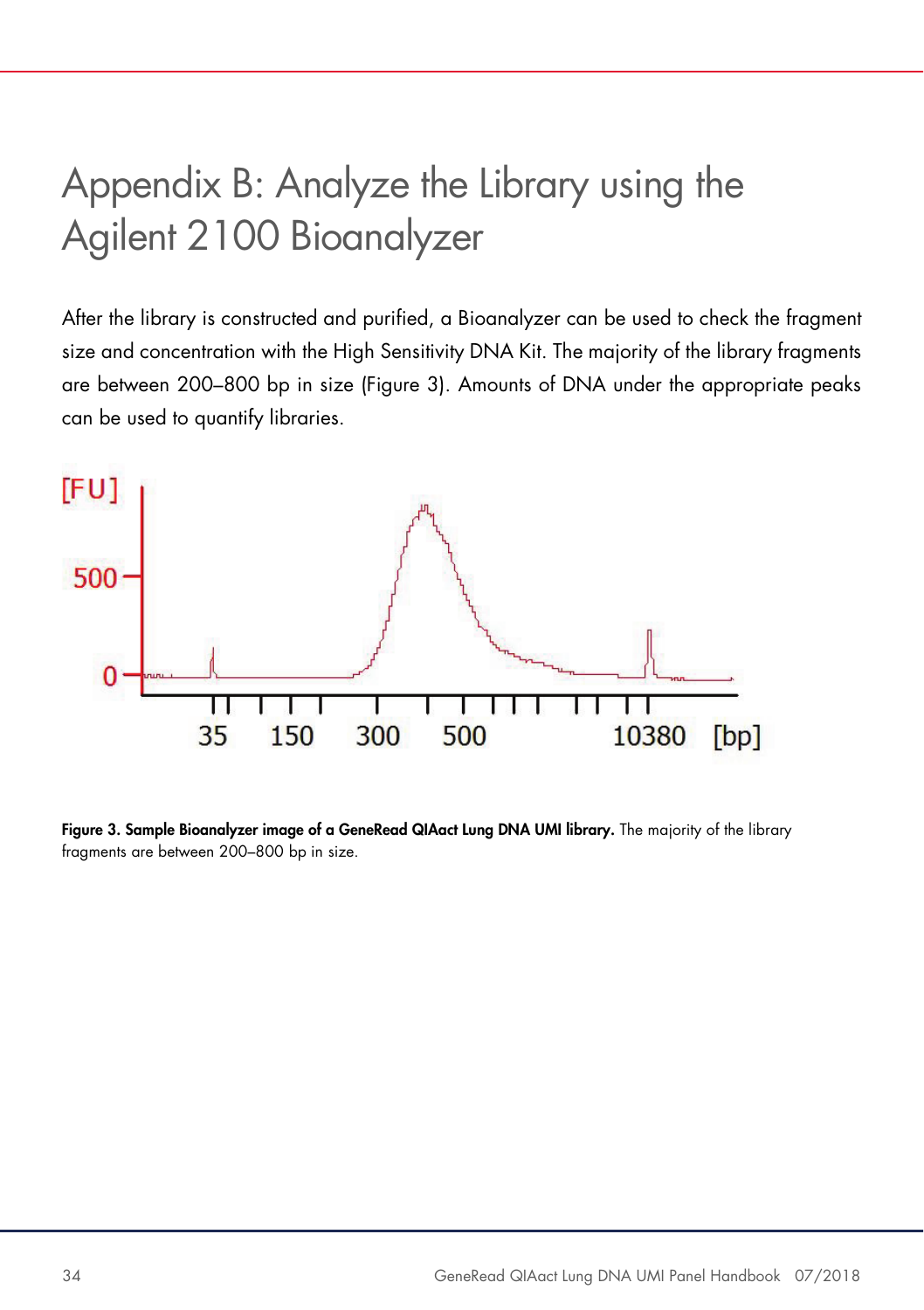# Appendix B: Analyze the Library using the Agilent 2100 Bioanalyzer

After the library is constructed and purified, a Bioanalyzer can be used to check the fragment size and concentration with the High Sensitivity DNA Kit. The majority of the library fragments are between 200–800 bp in size (Figure 3). Amounts of DNA under the appropriate peaks can be used to quantify libraries.



Figure 3. Sample Bioanalyzer image of a GeneRead QIAact Lung DNA UMI library. The majority of the library fragments are between 200–800 bp in size.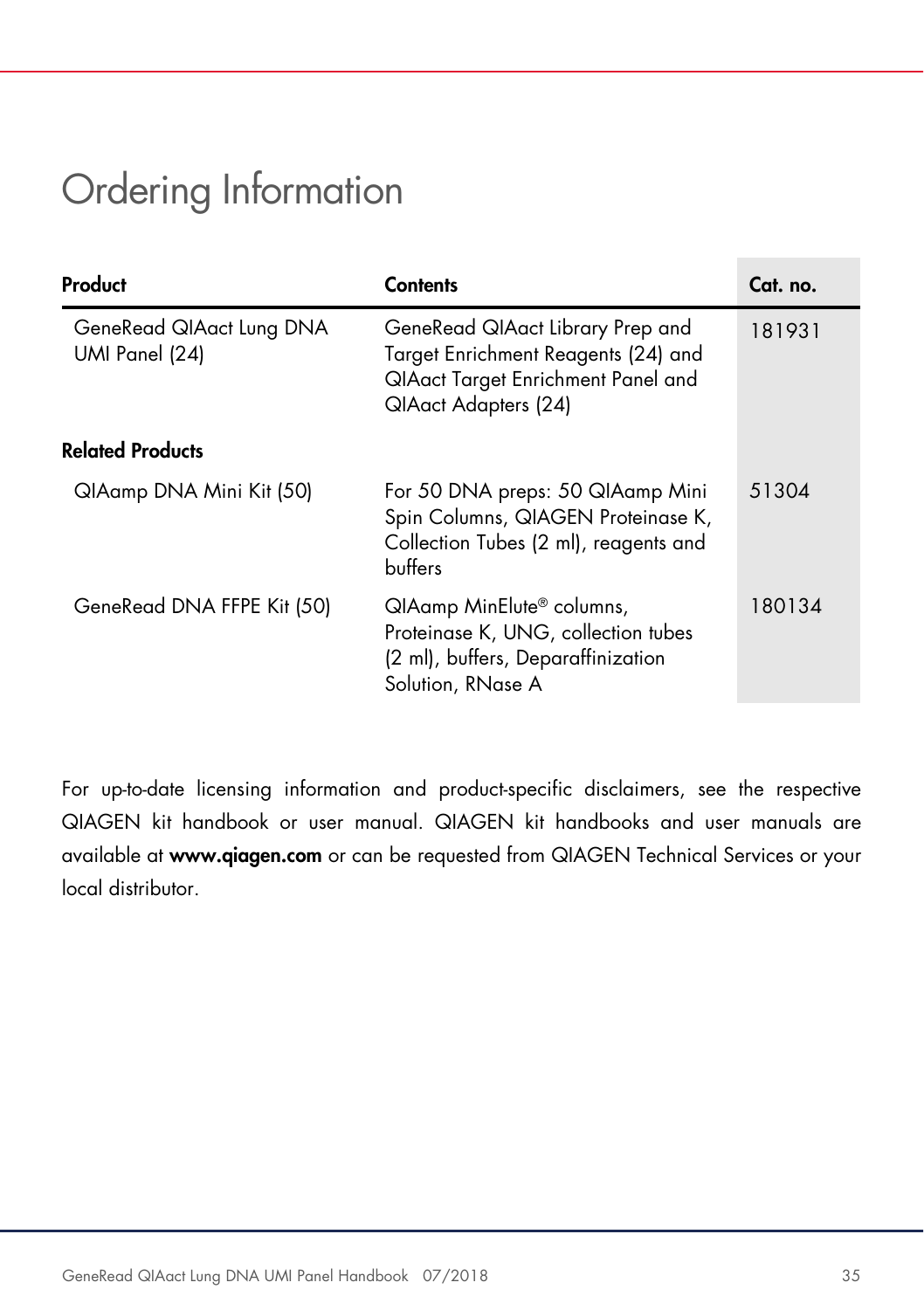## Ordering Information

| Product                                    | Contents                                                                                                                              | Cat. no. |  |
|--------------------------------------------|---------------------------------------------------------------------------------------------------------------------------------------|----------|--|
| GeneRead QIAact Lung DNA<br>UMI Panel (24) | GeneRead QIAact Library Prep and<br>Target Enrichment Reagents (24) and<br>QIAact Target Enrichment Panel and<br>QIAact Adapters (24) | 181931   |  |
| <b>Related Products</b>                    |                                                                                                                                       |          |  |
| QIAamp DNA Mini Kit (50)                   | For 50 DNA preps: 50 QIAamp Mini<br>Spin Columns, QIAGEN Proteinase K,<br>Collection Tubes (2 ml), reagents and<br>buffers            | 51304    |  |
| GeneRead DNA FFPE Kit (50)                 | QIAamp MinElute® columns,<br>Proteinase K, UNG, collection tubes<br>(2 ml), buffers, Deparaffinization<br>Solution, RNase A           | 180134   |  |

For up-to-date licensing information and product-specific disclaimers, see the respective QIAGEN kit handbook or user manual. QIAGEN kit handbooks and user manuals are available at www.qiagen.com or can be requested from QIAGEN Technical Services or your local distributor.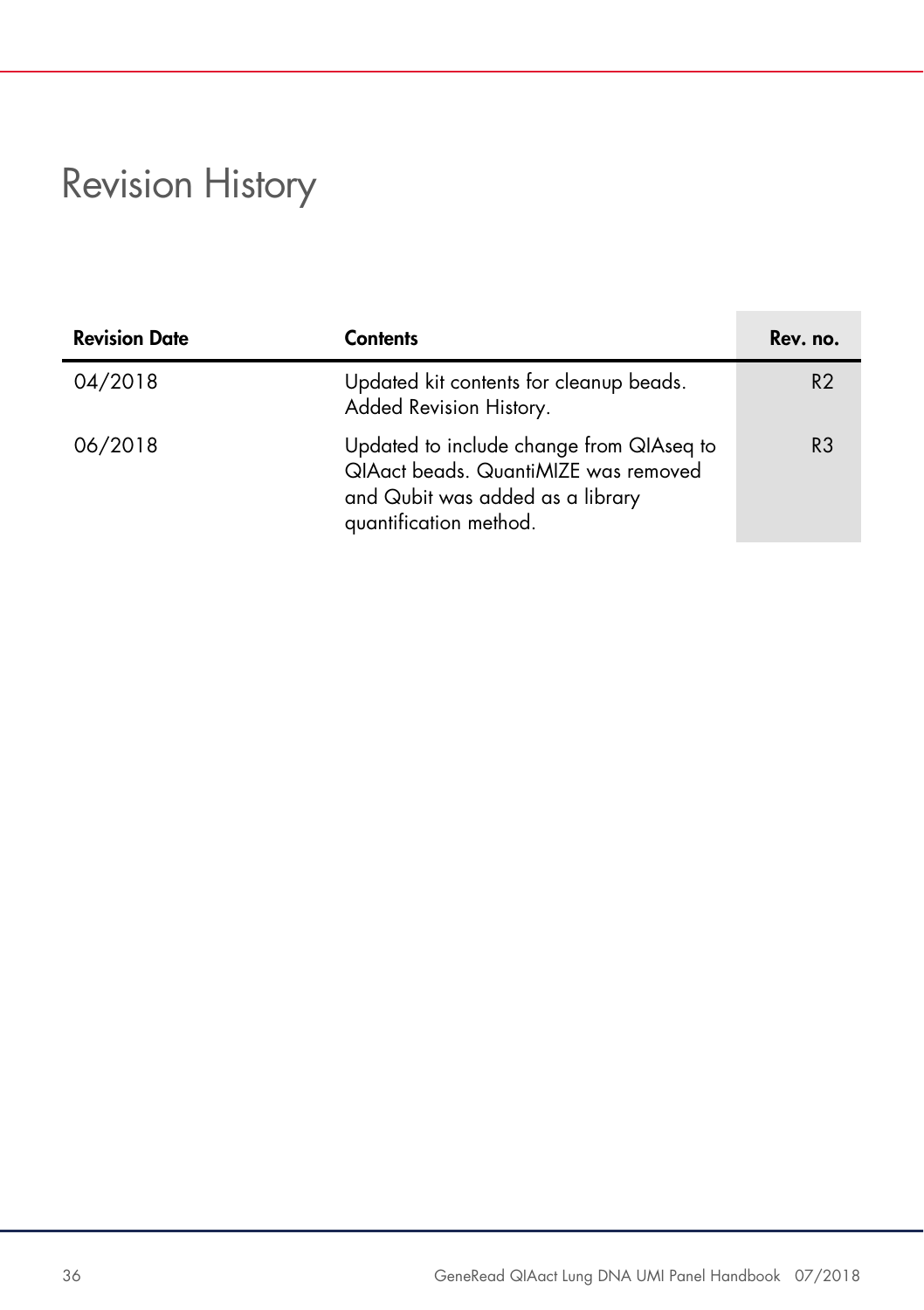# Revision History

| <b>Revision Date</b> | <b>Contents</b>                                                                                                                                | Rev. no.       |
|----------------------|------------------------------------------------------------------------------------------------------------------------------------------------|----------------|
| 04/2018              | Updated kit contents for cleanup beads.<br>Added Revision History.                                                                             | R <sub>2</sub> |
| 06/2018              | Updated to include change from QIAseq to<br>QIAact beads. QuantiMIZE was removed<br>and Qubit was added as a library<br>quantification method. | R3             |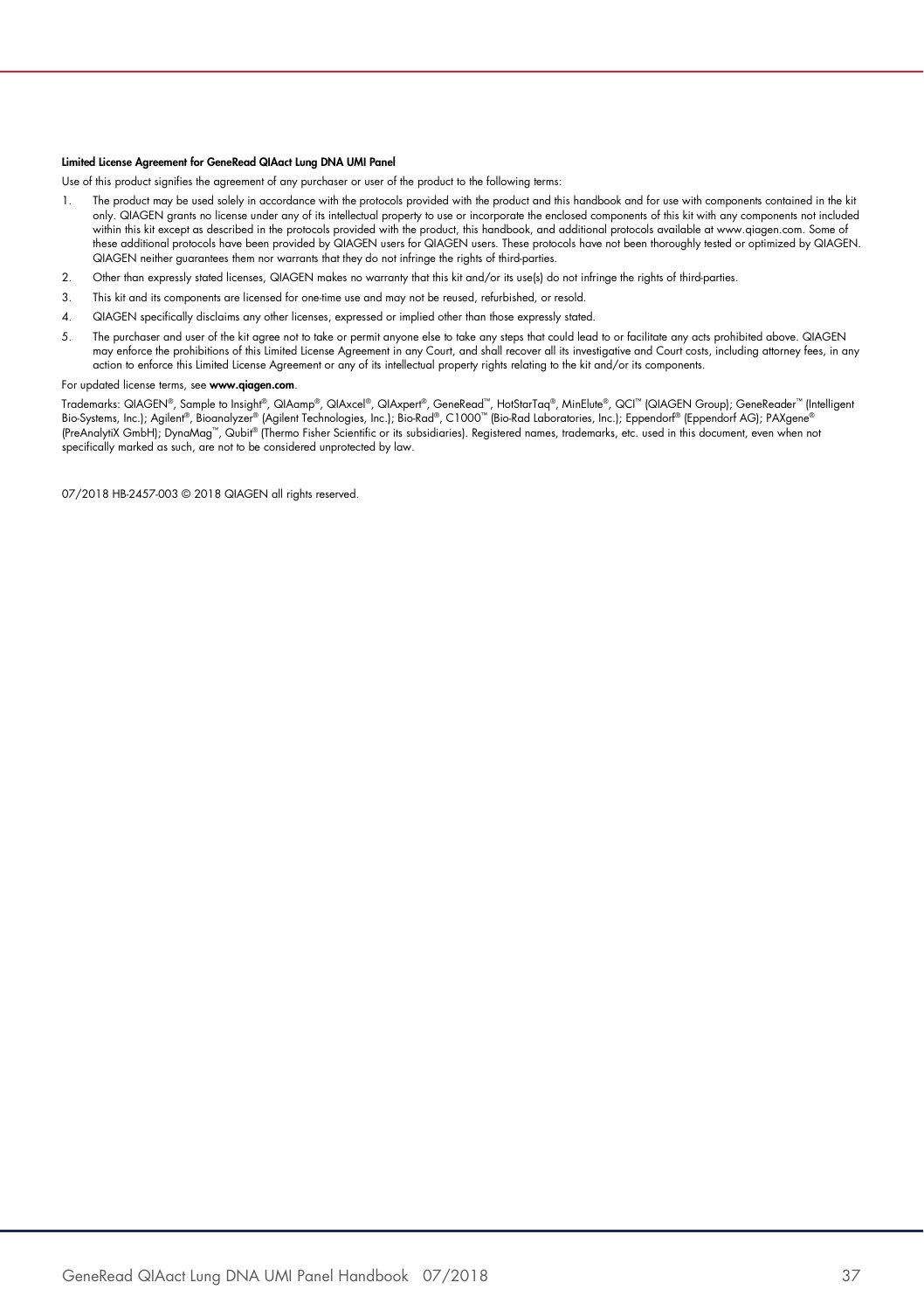#### Limited License Agreement for GeneRead QIAact Lung DNA UMI Panel

Use of this product signifies the agreement of any purchaser or user of the product to the following terms:

- The product may be used solely in accordance with the protocols provided with the product and this handbook and for use with components contained in the kit only. QIAGEN grants no license under any of its intellectual property to use or incorporate the enclosed components of this kit with any components not included within this kit except as described in the protocols provided with the product, this handbook, and additional protocols available at www.qiagen.com. Some of these additional protocols have been provided by QIAGEN users for QIAGEN users. These protocols have not been thoroughly tested or optimized by QIAGEN. QIAGEN neither guarantees them nor warrants that they do not infringe the rights of third-parties.
- 2. Other than expressly stated licenses, QIAGEN makes no warranty that this kit and/or its use(s) do not infringe the rights of third-parties.
- 3. This kit and its components are licensed for one-time use and may not be reused, refurbished, or resold.
- 4. QIAGEN specifically disclaims any other licenses, expressed or implied other than those expressly stated.
- 5. The purchaser and user of the kit agree not to take or permit anyone else to take any steps that could lead to or facilitate any acts prohibited above. QIAGEN may enforce the prohibitions of this Limited License Agreement in any Court, and shall recover all its investigative and Court costs, including attorney fees, in any action to enforce this Limited License Agreement or any of its intellectual property rights relating to the kit and/or its components.

#### For updated license terms, see www.qiagen.com.

Trademarks: QIAGEN®, Sample to Insight®, QIAamp®, QIAxcel®, QIAxpert®, GeneRead™, HotStarTaq®, MinElute®, QCI™ (QIAGEN Group); GeneReader™ (Intelligent Bio-Systems, Inc.); Agilent®, Bioanalyzer® (Agilent Technologies, Inc.); Bio-Rad®, C1000™ (Bio-Rad Laboratories, Inc.); Eppendorf® (Eppendorf AG); PAXgene® (PreAnalytiX GmbH); DynaMag™, Qubit® (Thermo Fisher Scientific or its subsidiaries). Registered names, trademarks, etc. used in this document, even when not specifically marked as such, are not to be considered unprotected by law.

07/2018 HB-2457-003 © 2018 QIAGEN all rights reserved.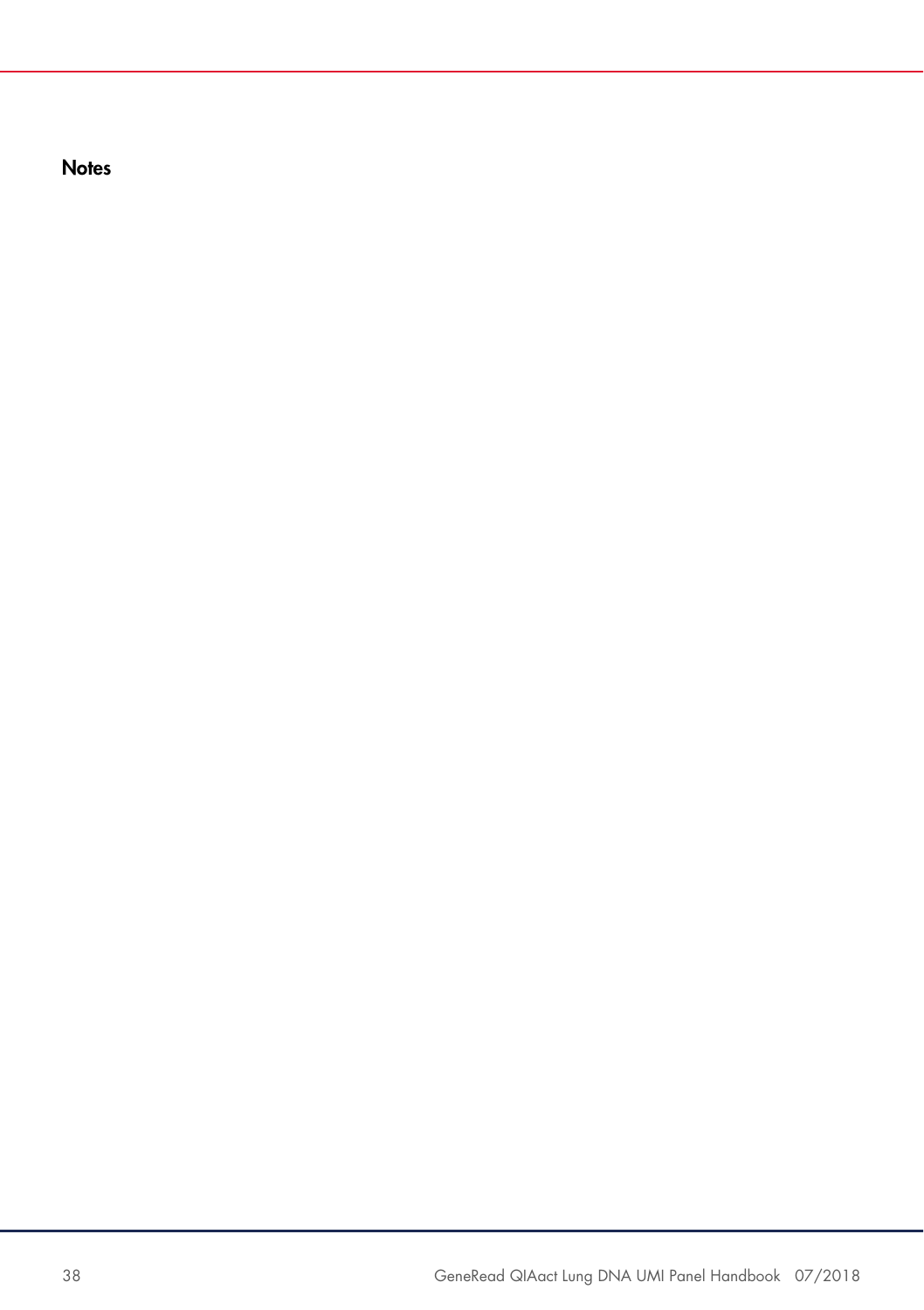**Notes**